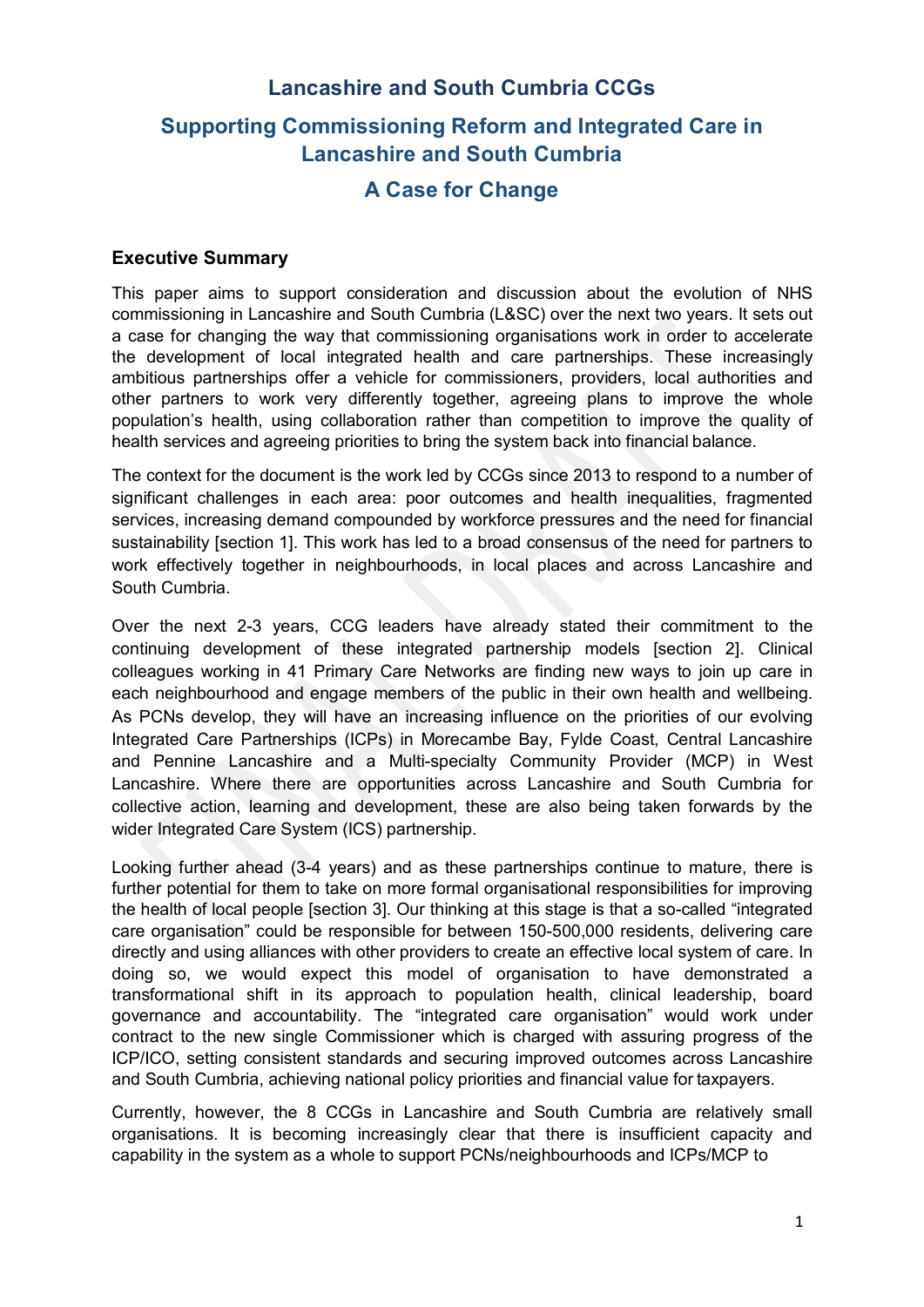# **Lancashire and South Cumbria CCGs Supporting Commissioning Reform and Integrated Care in Lancashire and South Cumbria A Case for Change**

## **Executive Summary**

This paper aims to support consideration and discussion about the evolution of NHS commissioning in Lancashire and South Cumbria (L&SC) over the next two years. It sets out a case for changing the way that commissioning organisations work in order to accelerate the development of local integrated health and care partnerships. These increasingly ambitious partnerships offer a vehicle for commissioners, providers, local authorities and other partners to work very differently together, agreeing plans to improve the whole population's health, using collaboration rather than competition to improve the quality of health services and agreeing priorities to bring the system back into financial balance.

The context for the document is the work led by CCGs since 2013 to respond to a number of significant challenges in each area: poor outcomes and health inequalities, fragmented services, increasing demand compounded by workforce pressures and the need for financial sustainability [section 1]. This work has led to a broad consensus of the need for partners to work effectively together in neighbourhoods, in local places and across Lancashire and South Cumbria.

Over the next 2-3 years, CCG leaders have already stated their commitment to the continuing development of these integrated partnership models [section 2]. Clinical colleagues working in 41 Primary Care Networks are finding new ways to join up care in each neighbourhood and engage members of the public in their own health and wellbeing. As PCNs develop, they will have an increasing influence on the priorities of our evolving Integrated Care Partnerships (ICPs) in Morecambe Bay, Fylde Coast, Central Lancashire and Pennine Lancashire and a Multi-specialty Community Provider (MCP) in West Lancashire. Where there are opportunities across Lancashire and South Cumbria for collective action, learning and development, these are also being taken forwards by the wider Integrated Care System (ICS) partnership.

Looking further ahead (3-4 years) and as these partnerships continue to mature, there is further potential for them to take on more formal organisational responsibilities for improving the health of local people [section 3]. Our thinking at this stage is that a so-called "integrated care organisation" could be responsible for between 150-500,000 residents, delivering care directly and using alliances with other providers to create an effective local system of care. In doing so, we would expect this model of organisation to have demonstrated a transformational shift in its approach to population health, clinical leadership, board governance and accountability. The "integrated care organisation" would work under contract to the new single Commissioner which is charged with assuring progress of the ICP/ICO, setting consistent standards and securing improved outcomes across Lancashire and South Cumbria, achieving national policy priorities and financial value for taxpayers.

Currently, however, the 8 CCGs in Lancashire and South Cumbria are relatively small organisations. It is becoming increasingly clear that there is insufficient capacity and capability in the system as a whole to support PCNs/neighbourhoods and ICPs/MCP to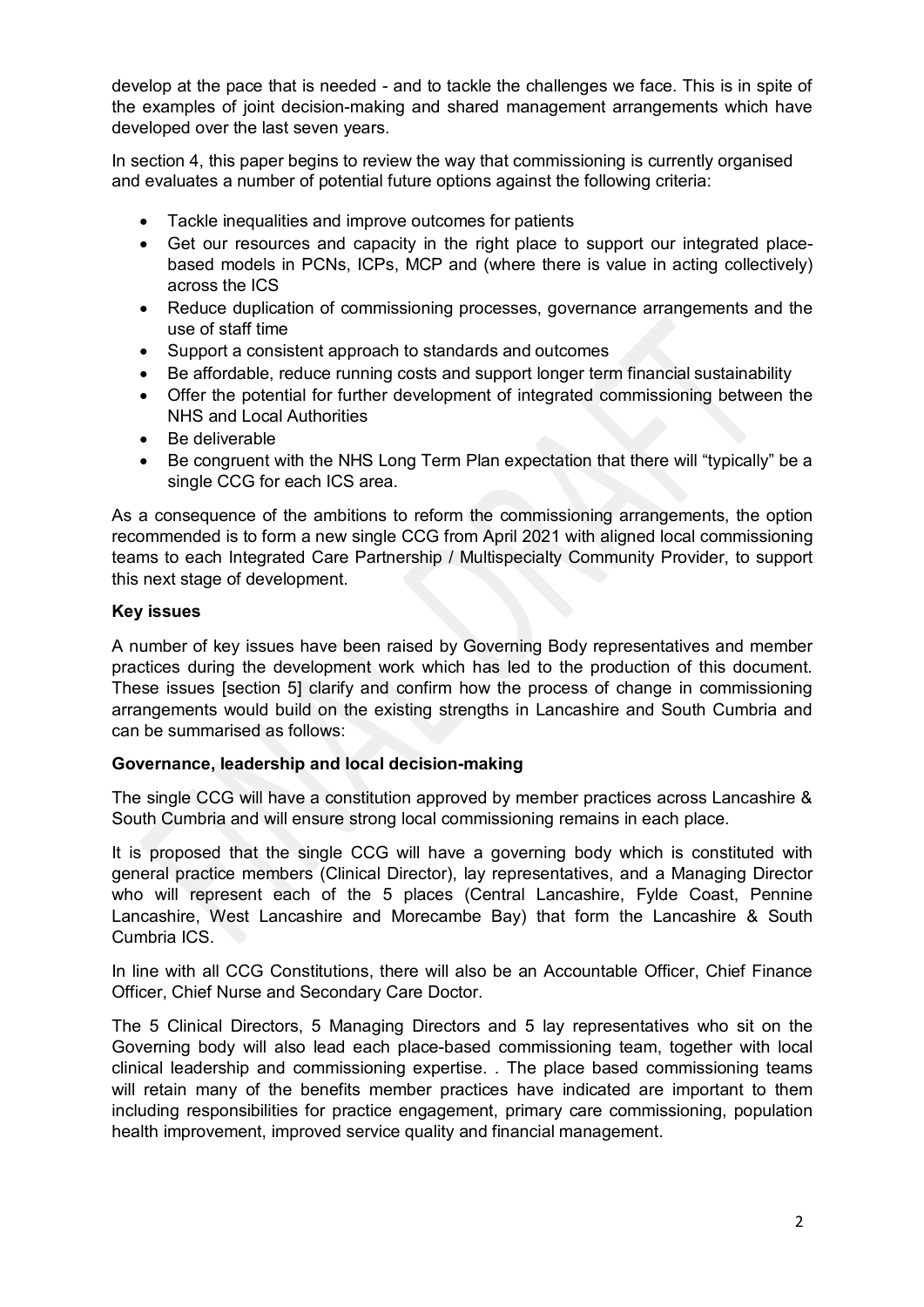develop at the pace that is needed - and to tackle the challenges we face. This is in spite of the examples of joint decision-making and shared management arrangements which have developed over the last seven years.

In section 4, this paper begins to review the way that commissioning is currently organised and evaluates a number of potential future options against the following criteria:

- Tackle inequalities and improve outcomes for patients
- Get our resources and capacity in the right place to support our integrated placebased models in PCNs, ICPs, MCP and (where there is value in acting collectively) across the ICS
- Reduce duplication of commissioning processes, governance arrangements and the use of staff time
- Support a consistent approach to standards and outcomes
- Be affordable, reduce running costs and support longer term financial sustainability
- Offer the potential for further development of integrated commissioning between the NHS and Local Authorities
- Be deliverable
- Be congruent with the NHS Long Term Plan expectation that there will "typically" be a single CCG for each ICS area.

As a consequence of the ambitions to reform the commissioning arrangements, the option recommended is to form a new single CCG from April 2021 with aligned local commissioning teams to each Integrated Care Partnership / Multispecialty Community Provider, to support this next stage of development.

#### **Key issues**

A number of key issues have been raised by Governing Body representatives and member practices during the development work which has led to the production of this document. These issues [section 5] clarify and confirm how the process of change in commissioning arrangements would build on the existing strengths in Lancashire and South Cumbria and can be summarised as follows:

#### **Governance, leadership and local decision-making**

The single CCG will have a constitution approved by member practices across Lancashire & South Cumbria and will ensure strong local commissioning remains in each place.

It is proposed that the single CCG will have a governing body which is constituted with general practice members (Clinical Director), lay representatives, and a Managing Director who will represent each of the 5 places (Central Lancashire, Fylde Coast, Pennine Lancashire, West Lancashire and Morecambe Bay) that form the Lancashire & South Cumbria ICS.

In line with all CCG Constitutions, there will also be an Accountable Officer, Chief Finance Officer, Chief Nurse and Secondary Care Doctor.

The 5 Clinical Directors, 5 Managing Directors and 5 lay representatives who sit on the Governing body will also lead each place-based commissioning team, together with local clinical leadership and commissioning expertise. . The place based commissioning teams will retain many of the benefits member practices have indicated are important to them including responsibilities for practice engagement, primary care commissioning, population health improvement, improved service quality and financial management.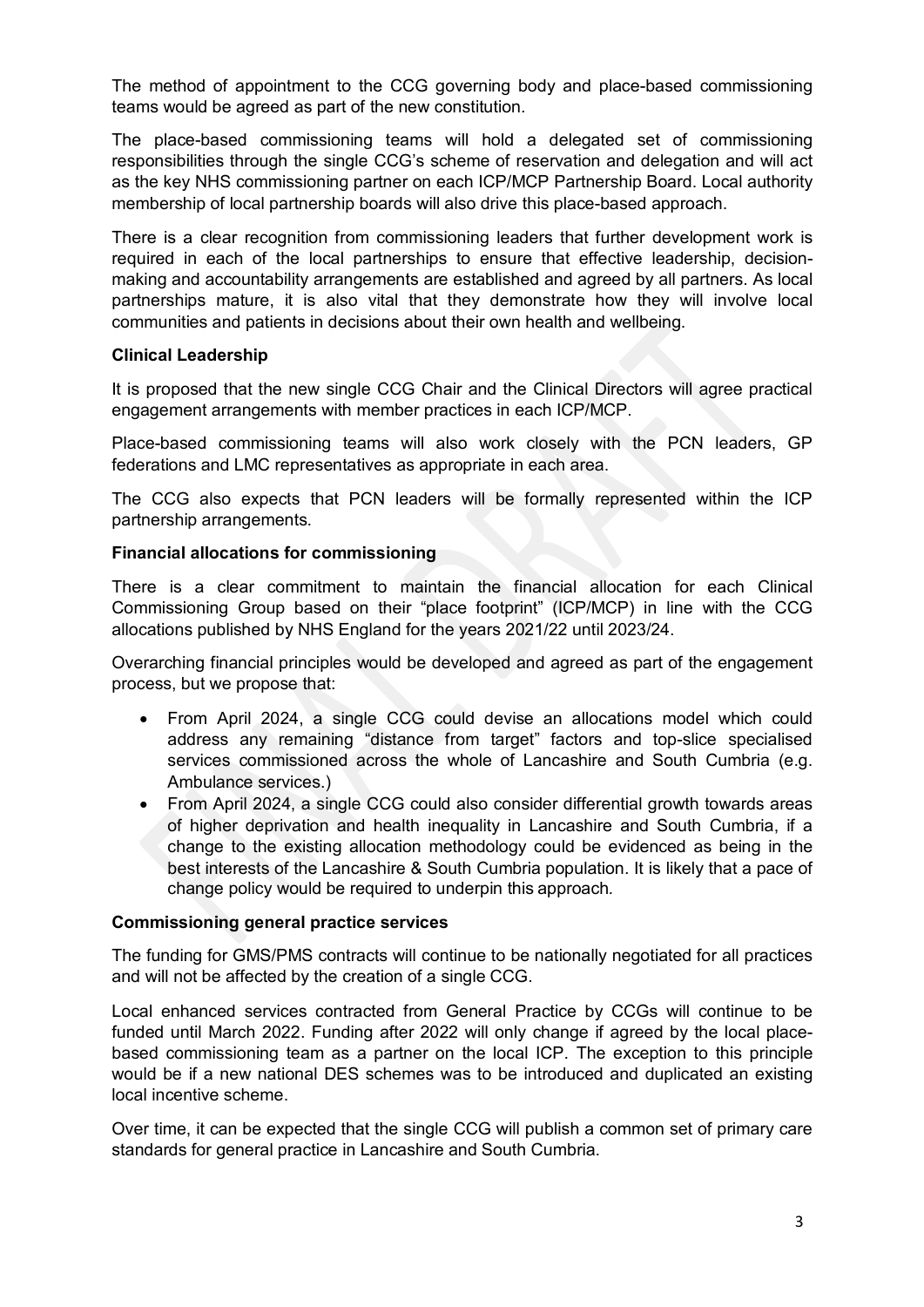The method of appointment to the CCG governing body and place-based commissioning teams would be agreed as part of the new constitution.

The place-based commissioning teams will hold a delegated set of commissioning responsibilities through the single CCG's scheme of reservation and delegation and will act as the key NHS commissioning partner on each ICP/MCP Partnership Board. Local authority membership of local partnership boards will also drive this place-based approach.

There is a clear recognition from commissioning leaders that further development work is required in each of the local partnerships to ensure that effective leadership, decisionmaking and accountability arrangements are established and agreed by all partners. As local partnerships mature, it is also vital that they demonstrate how they will involve local communities and patients in decisions about their own health and wellbeing.

#### **Clinical Leadership**

It is proposed that the new single CCG Chair and the Clinical Directors will agree practical engagement arrangements with member practices in each ICP/MCP.

Place-based commissioning teams will also work closely with the PCN leaders, GP federations and LMC representatives as appropriate in each area.

The CCG also expects that PCN leaders will be formally represented within the ICP partnership arrangements.

#### **Financial allocations for commissioning**

There is a clear commitment to maintain the financial allocation for each Clinical Commissioning Group based on their "place footprint" (ICP/MCP) in line with the CCG allocations published by NHS England for the years 2021/22 until 2023/24.

Overarching financial principles would be developed and agreed as part of the engagement process, but we propose that:

- From April 2024, a single CCG could devise an allocations model which could address any remaining "distance from target" factors and top-slice specialised services commissioned across the whole of Lancashire and South Cumbria (e.g. Ambulance services.)
- From April 2024, a single CCG could also consider differential growth towards areas of higher deprivation and health inequality in Lancashire and South Cumbria, if a change to the existing allocation methodology could be evidenced as being in the best interests of the Lancashire & South Cumbria population. It is likely that a pace of change policy would be required to underpin this approach*.*

#### **Commissioning general practice services**

The funding for GMS/PMS contracts will continue to be nationally negotiated for all practices and will not be affected by the creation of a single CCG.

Local enhanced services contracted from General Practice by CCGs will continue to be funded until March 2022. Funding after 2022 will only change if agreed by the local placebased commissioning team as a partner on the local ICP. The exception to this principle would be if a new national DES schemes was to be introduced and duplicated an existing local incentive scheme.

Over time, it can be expected that the single CCG will publish a common set of primary care standards for general practice in Lancashire and South Cumbria.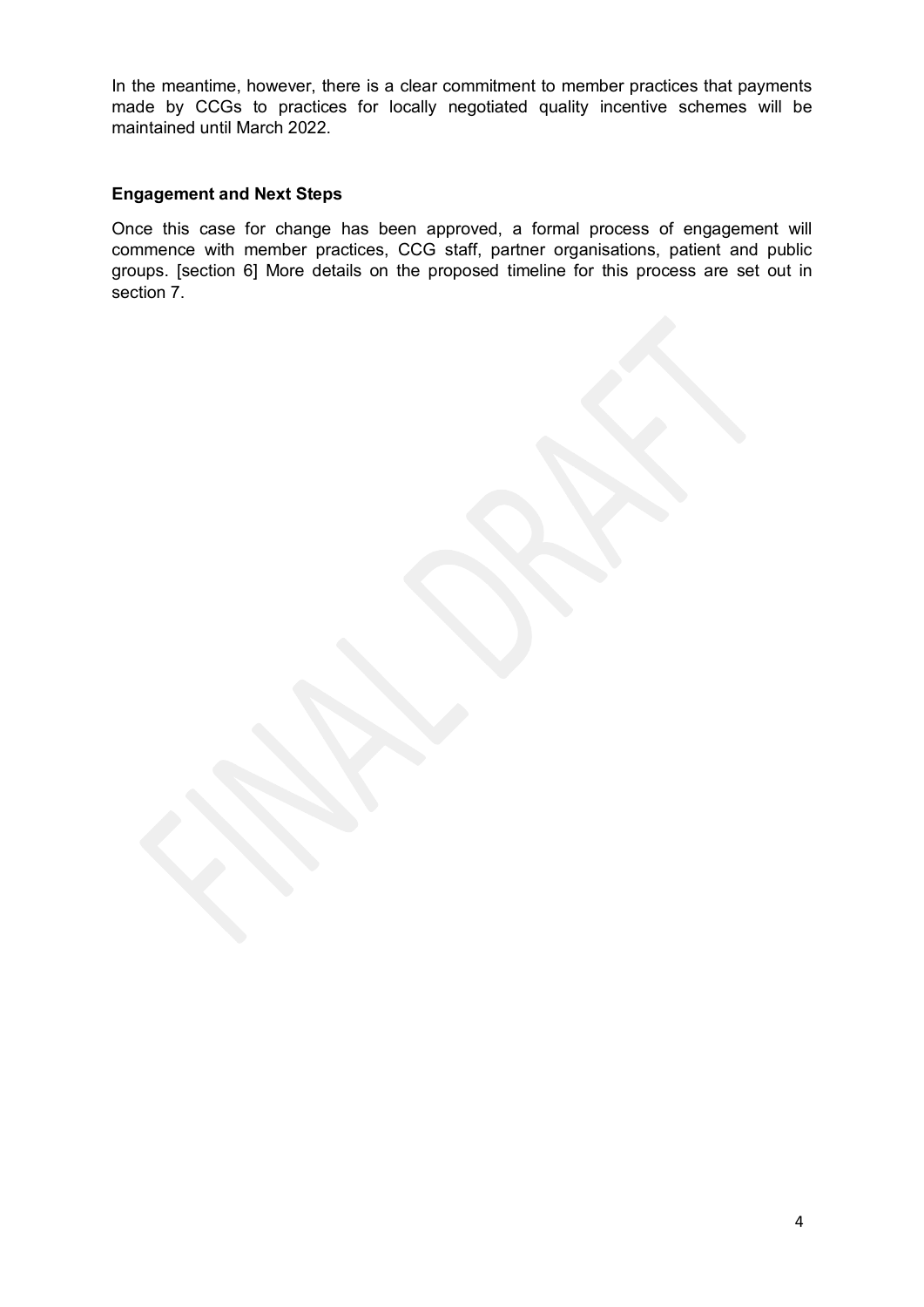In the meantime, however, there is a clear commitment to member practices that payments made by CCGs to practices for locally negotiated quality incentive schemes will be maintained until March 2022.

#### **Engagement and Next Steps**

Once this case for change has been approved, a formal process of engagement will commence with member practices, CCG staff, partner organisations, patient and public groups. [section 6] More details on the proposed timeline for this process are set out in section 7.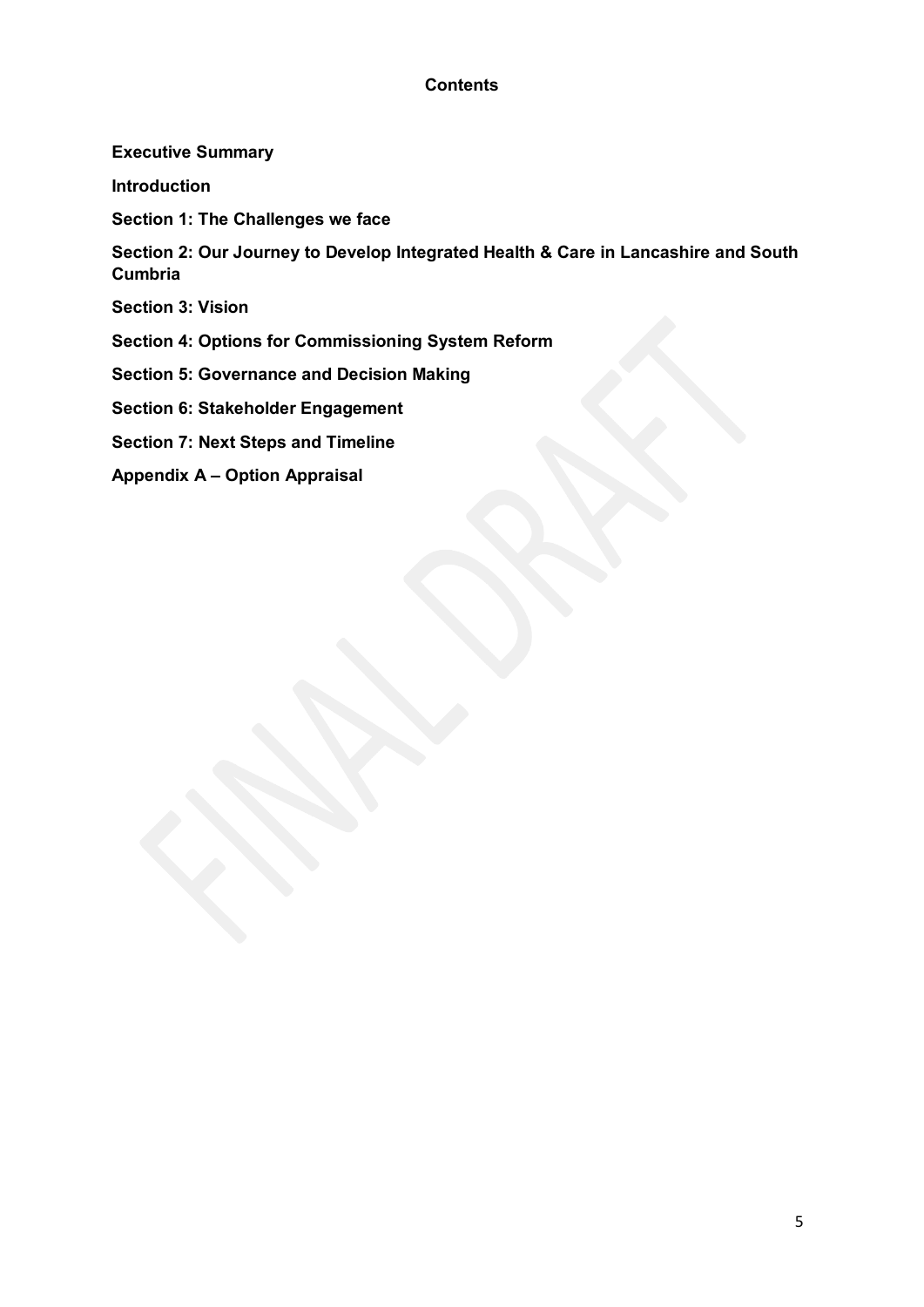# **Contents**

#### **Executive Summary**

**Introduction**

**Section 1: The Challenges we face**

**Section 2: Our Journey to Develop Integrated Health & Care in Lancashire and South Cumbria**

**Section 3: Vision**

**Section 4: Options for Commissioning System Reform** 

**Section 5: Governance and Decision Making**

**Section 6: Stakeholder Engagement** 

**Section 7: Next Steps and Timeline** 

**Appendix A – Option Appraisal**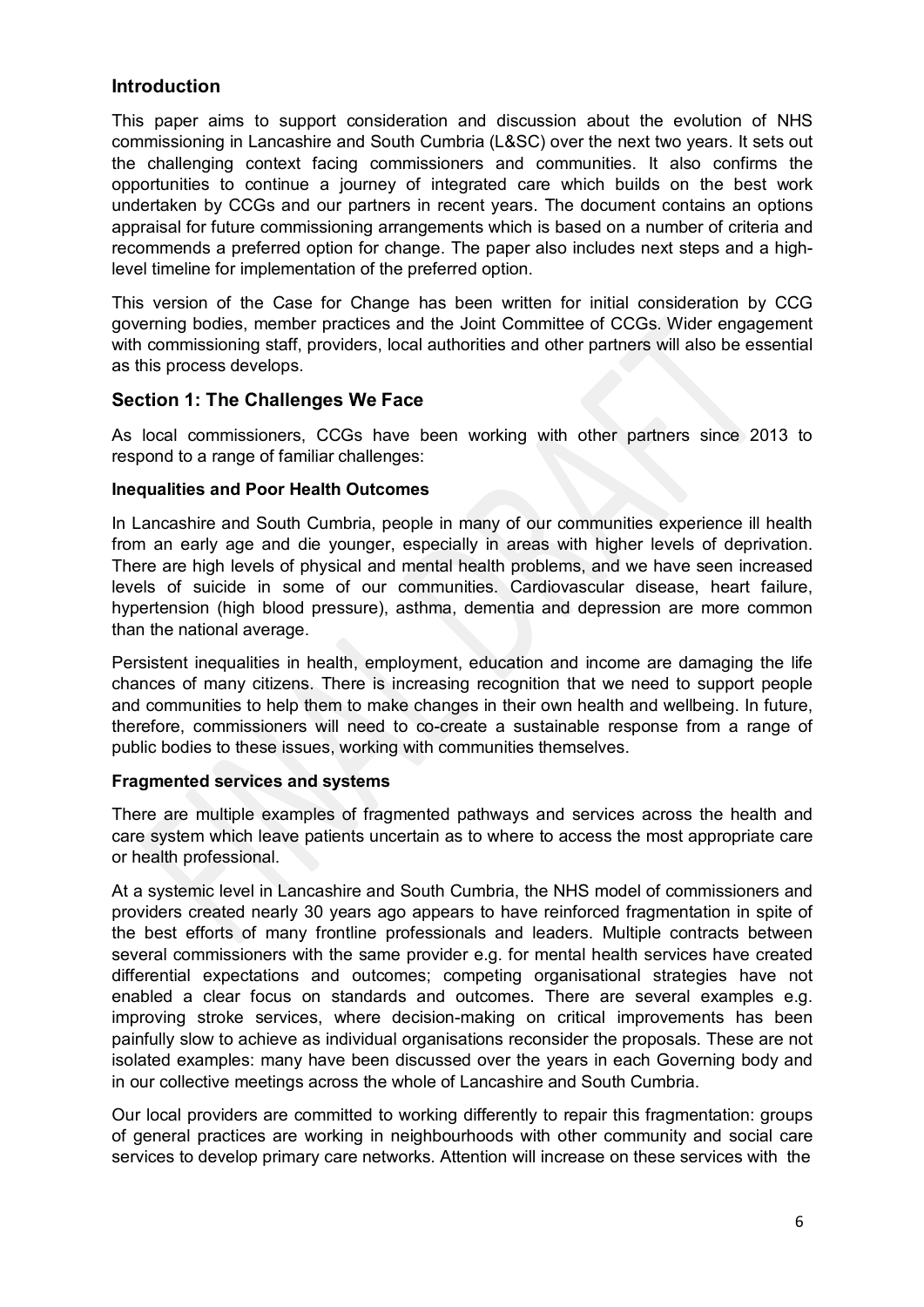# **Introduction**

This paper aims to support consideration and discussion about the evolution of NHS commissioning in Lancashire and South Cumbria (L&SC) over the next two years. It sets out the challenging context facing commissioners and communities. It also confirms the opportunities to continue a journey of integrated care which builds on the best work undertaken by CCGs and our partners in recent years. The document contains an options appraisal for future commissioning arrangements which is based on a number of criteria and recommends a preferred option for change. The paper also includes next steps and a highlevel timeline for implementation of the preferred option.

This version of the Case for Change has been written for initial consideration by CCG governing bodies, member practices and the Joint Committee of CCGs. Wider engagement with commissioning staff, providers, local authorities and other partners will also be essential as this process develops.

# **Section 1: The Challenges We Face**

As local commissioners, CCGs have been working with other partners since 2013 to respond to a range of familiar challenges:

#### **Inequalities and Poor Health Outcomes**

In Lancashire and South Cumbria, people in many of our communities experience ill health from an early age and die younger, especially in areas with higher levels of deprivation. There are high levels of physical and mental health problems, and we have seen increased levels of suicide in some of our communities. Cardiovascular disease, heart failure, hypertension (high blood pressure), asthma, dementia and depression are more common than the national average.

Persistent inequalities in health, employment, education and income are damaging the life chances of many citizens. There is increasing recognition that we need to support people and communities to help them to make changes in their own health and wellbeing. In future, therefore, commissioners will need to co-create a sustainable response from a range of public bodies to these issues, working with communities themselves.

#### **Fragmented services and systems**

There are multiple examples of fragmented pathways and services across the health and care system which leave patients uncertain as to where to access the most appropriate care or health professional.

At a systemic level in Lancashire and South Cumbria, the NHS model of commissioners and providers created nearly 30 years ago appears to have reinforced fragmentation in spite of the best efforts of many frontline professionals and leaders. Multiple contracts between several commissioners with the same provider e.g. for mental health services have created differential expectations and outcomes; competing organisational strategies have not enabled a clear focus on standards and outcomes. There are several examples e.g. improving stroke services, where decision-making on critical improvements has been painfully slow to achieve as individual organisations reconsider the proposals. These are not isolated examples: many have been discussed over the years in each Governing body and in our collective meetings across the whole of Lancashire and South Cumbria.

Our local providers are committed to working differently to repair this fragmentation: groups of general practices are working in neighbourhoods with other community and social care services to develop primary care networks. Attention will increase on these services with the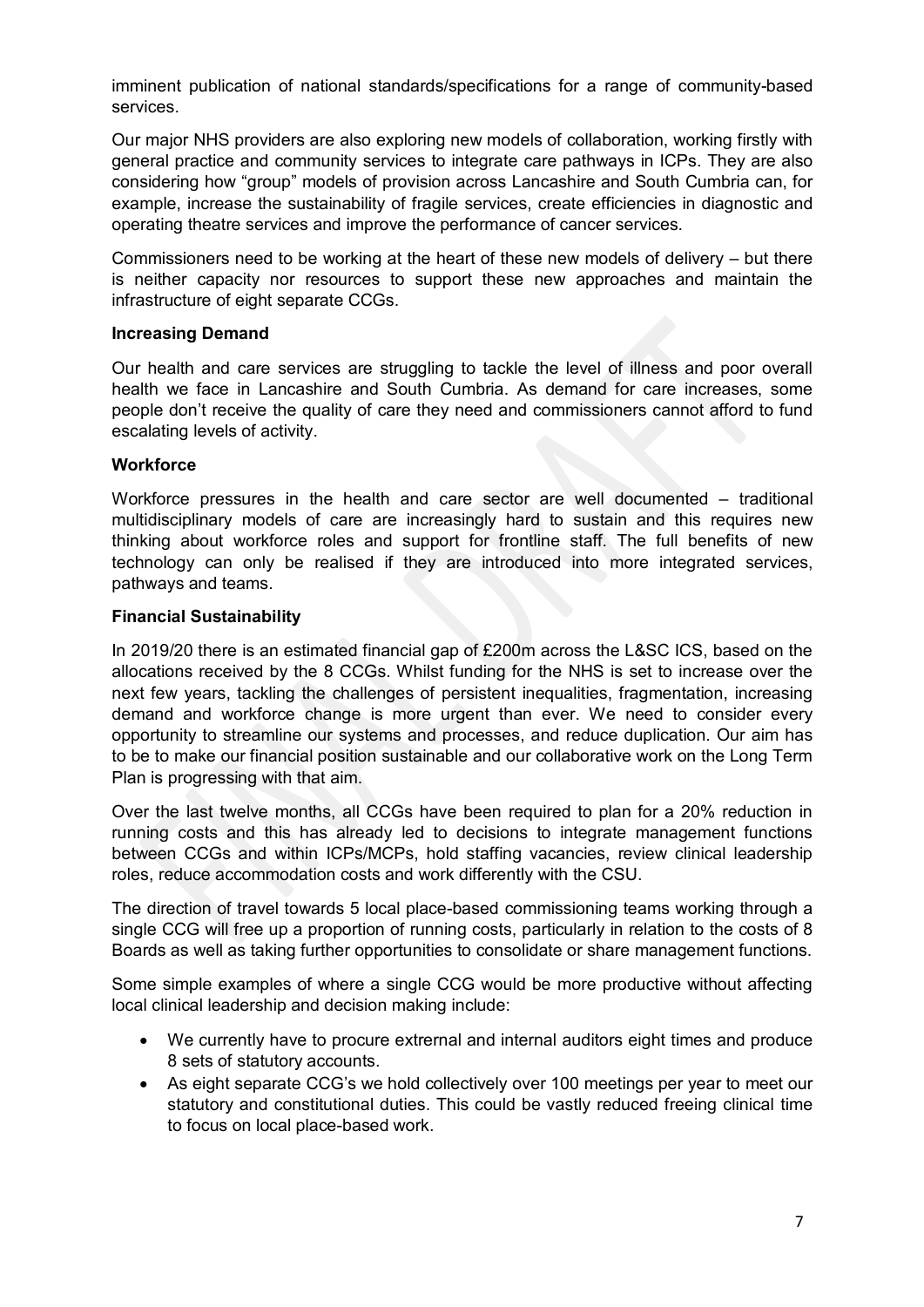imminent publication of national standards/specifications for a range of community-based services.

Our major NHS providers are also exploring new models of collaboration, working firstly with general practice and community services to integrate care pathways in ICPs. They are also considering how "group" models of provision across Lancashire and South Cumbria can, for example, increase the sustainability of fragile services, create efficiencies in diagnostic and operating theatre services and improve the performance of cancer services.

Commissioners need to be working at the heart of these new models of delivery – but there is neither capacity nor resources to support these new approaches and maintain the infrastructure of eight separate CCGs.

#### **Increasing Demand**

Our health and care services are struggling to tackle the level of illness and poor overall health we face in Lancashire and South Cumbria. As demand for care increases, some people don't receive the quality of care they need and commissioners cannot afford to fund escalating levels of activity.

#### **Workforce**

Workforce pressures in the health and care sector are well documented – traditional multidisciplinary models of care are increasingly hard to sustain and this requires new thinking about workforce roles and support for frontline staff. The full benefits of new technology can only be realised if they are introduced into more integrated services, pathways and teams.

#### **Financial Sustainability**

In 2019/20 there is an estimated financial gap of £200m across the L&SC ICS, based on the allocations received by the 8 CCGs. Whilst funding for the NHS is set to increase over the next few years, tackling the challenges of persistent inequalities, fragmentation, increasing demand and workforce change is more urgent than ever. We need to consider every opportunity to streamline our systems and processes, and reduce duplication. Our aim has to be to make our financial position sustainable and our collaborative work on the Long Term Plan is progressing with that aim.

Over the last twelve months, all CCGs have been required to plan for a 20% reduction in running costs and this has already led to decisions to integrate management functions between CCGs and within ICPs/MCPs, hold staffing vacancies, review clinical leadership roles, reduce accommodation costs and work differently with the CSU.

The direction of travel towards 5 local place-based commissioning teams working through a single CCG will free up a proportion of running costs, particularly in relation to the costs of 8 Boards as well as taking further opportunities to consolidate or share management functions.

Some simple examples of where a single CCG would be more productive without affecting local clinical leadership and decision making include:

- We currently have to procure extrernal and internal auditors eight times and produce 8 sets of statutory accounts.
- As eight separate CCG's we hold collectively over 100 meetings per year to meet our statutory and constitutional duties. This could be vastly reduced freeing clinical time to focus on local place-based work.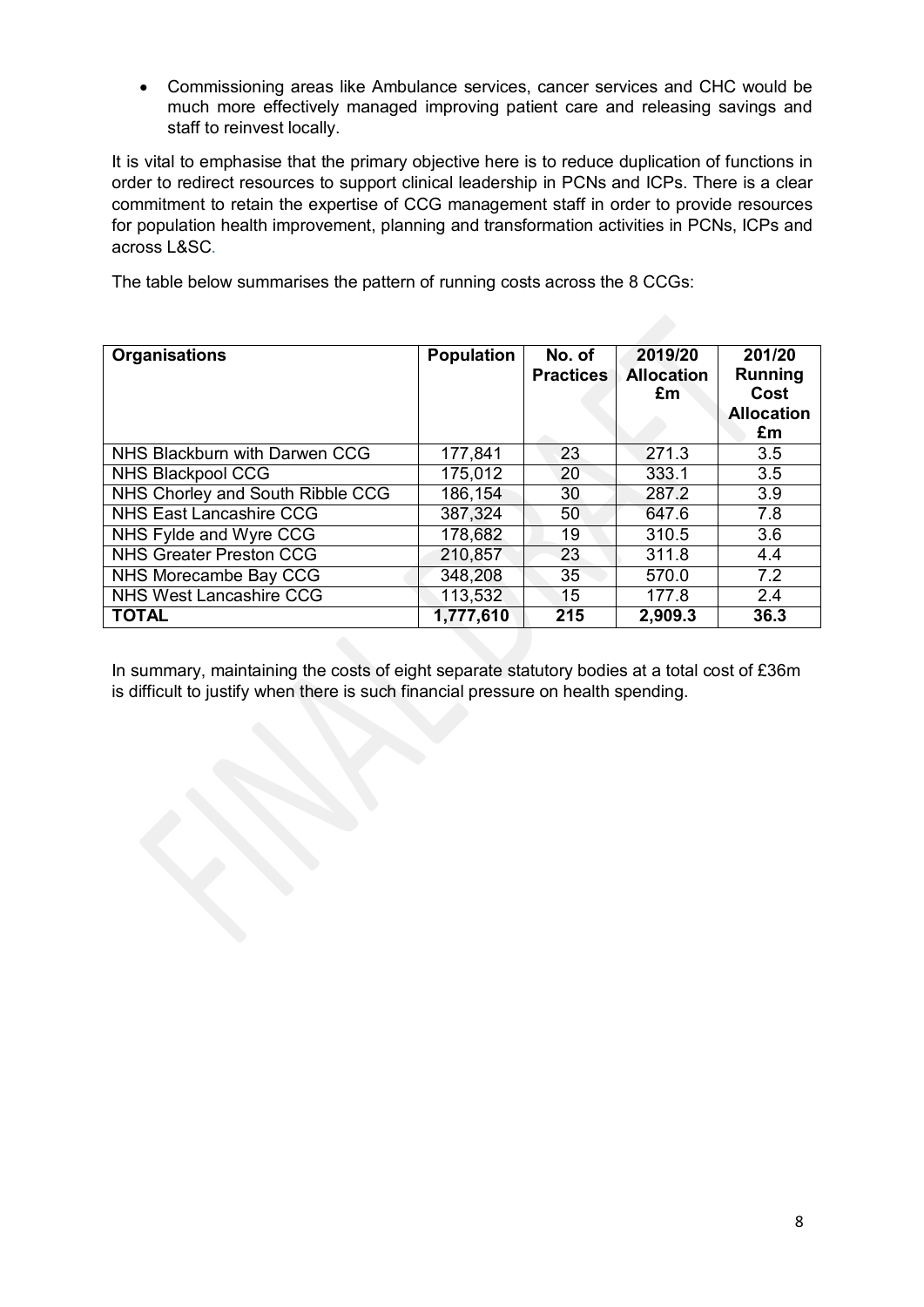• Commissioning areas like Ambulance services, cancer services and CHC would be much more effectively managed improving patient care and releasing savings and staff to reinvest locally.

It is vital to emphasise that the primary objective here is to reduce duplication of functions in order to redirect resources to support clinical leadership in PCNs and ICPs. There is a clear commitment to retain the expertise of CCG management staff in order to provide resources for population health improvement, planning and transformation activities in PCNs, ICPs and across L&SC.

The table below summarises the pattern of running costs across the 8 CCGs:

| <b>Organisations</b>             | <b>Population</b> | No. of<br><b>Practices</b> | 2019/20<br><b>Allocation</b><br>£m | 201/20<br><b>Running</b><br>Cost<br><b>Allocation</b><br>£m |
|----------------------------------|-------------------|----------------------------|------------------------------------|-------------------------------------------------------------|
| NHS Blackburn with Darwen CCG    | 177,841           | 23                         | 271.3                              | 3.5                                                         |
| NHS Blackpool CCG                | 175,012           | 20                         | 333.1                              | 3.5                                                         |
| NHS Chorley and South Ribble CCG | 186,154           | 30                         | 287.2                              | 3.9                                                         |
| <b>NHS East Lancashire CCG</b>   | 387,324           | 50                         | 647.6                              | 7.8                                                         |
| NHS Fylde and Wyre CCG           | 178,682           | 19                         | 310.5                              | 3.6                                                         |
| <b>NHS Greater Preston CCG</b>   | 210,857           | 23                         | 311.8                              | 4.4                                                         |
| NHS Morecambe Bay CCG            | 348,208           | 35                         | 570.0                              | 7.2                                                         |
| <b>NHS West Lancashire CCG</b>   | 113,532           | 15                         | 177.8                              | 2.4                                                         |
| <b>TOTAL</b>                     | 1,777,610         | 215                        | 2,909.3                            | 36.3                                                        |

In summary, maintaining the costs of eight separate statutory bodies at a total cost of £36m is difficult to justify when there is such financial pressure on health spending.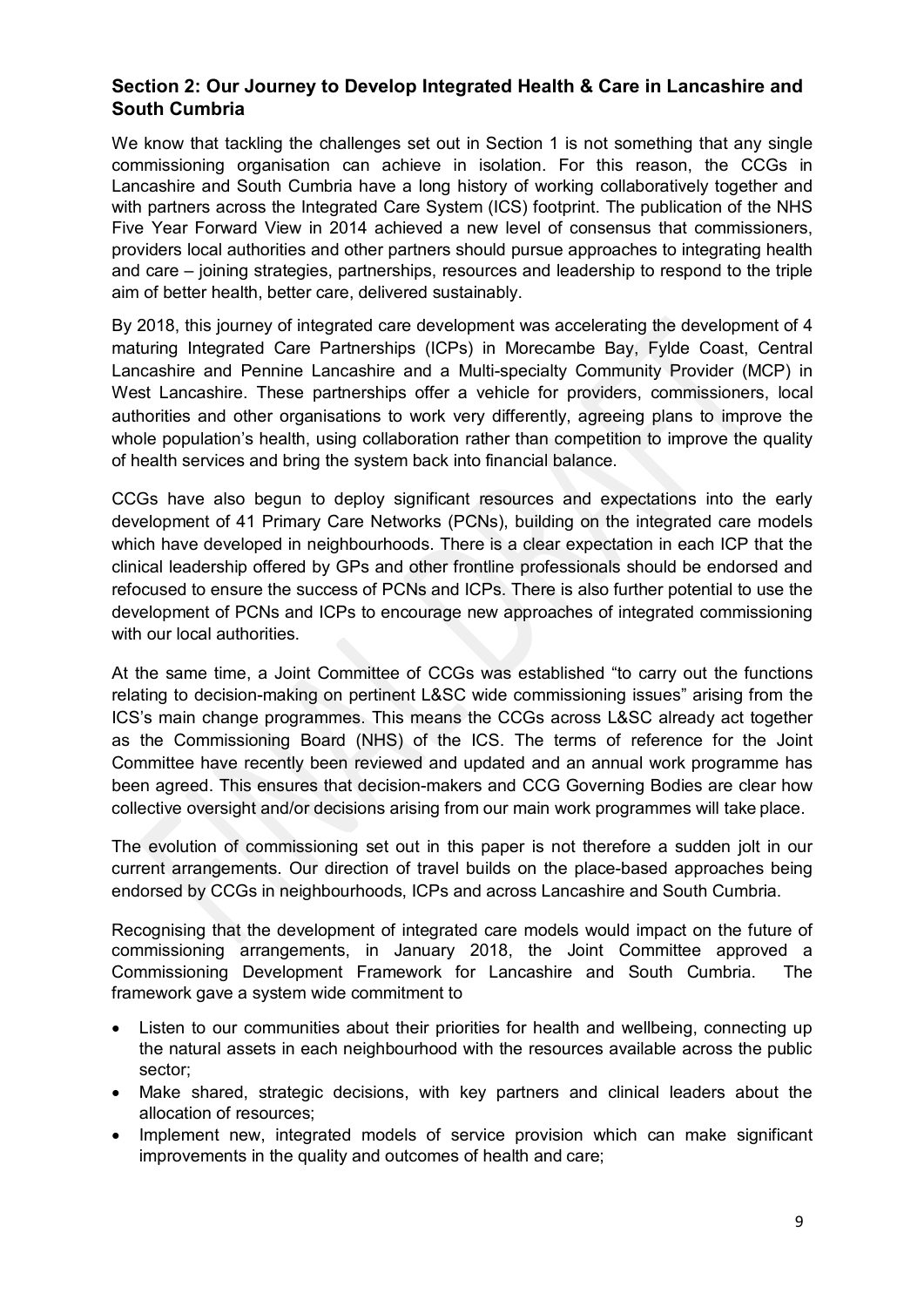# **Section 2: Our Journey to Develop Integrated Health & Care in Lancashire and South Cumbria**

We know that tackling the challenges set out in Section 1 is not something that any single commissioning organisation can achieve in isolation. For this reason, the CCGs in Lancashire and South Cumbria have a long history of working collaboratively together and with partners across the Integrated Care System (ICS) footprint. The publication of the NHS Five Year Forward View in 2014 achieved a new level of consensus that commissioners, providers local authorities and other partners should pursue approaches to integrating health and care – joining strategies, partnerships, resources and leadership to respond to the triple aim of better health, better care, delivered sustainably.

By 2018, this journey of integrated care development was accelerating the development of 4 maturing Integrated Care Partnerships (ICPs) in Morecambe Bay, Fylde Coast, Central Lancashire and Pennine Lancashire and a Multi-specialty Community Provider (MCP) in West Lancashire. These partnerships offer a vehicle for providers, commissioners, local authorities and other organisations to work very differently, agreeing plans to improve the whole population's health, using collaboration rather than competition to improve the quality of health services and bring the system back into financial balance.

CCGs have also begun to deploy significant resources and expectations into the early development of 41 Primary Care Networks (PCNs), building on the integrated care models which have developed in neighbourhoods. There is a clear expectation in each ICP that the clinical leadership offered by GPs and other frontline professionals should be endorsed and refocused to ensure the success of PCNs and ICPs. There is also further potential to use the development of PCNs and ICPs to encourage new approaches of integrated commissioning with our local authorities.

At the same time, a Joint Committee of CCGs was established "to carry out the functions relating to decision-making on pertinent L&SC wide commissioning issues" arising from the ICS's main change programmes. This means the CCGs across L&SC already act together as the Commissioning Board (NHS) of the ICS. The terms of reference for the Joint Committee have recently been reviewed and updated and an annual work programme has been agreed. This ensures that decision-makers and CCG Governing Bodies are clear how collective oversight and/or decisions arising from our main work programmes will take place.

The evolution of commissioning set out in this paper is not therefore a sudden jolt in our current arrangements. Our direction of travel builds on the place-based approaches being endorsed by CCGs in neighbourhoods, ICPs and across Lancashire and South Cumbria.

Recognising that the development of integrated care models would impact on the future of commissioning arrangements, in January 2018, the Joint Committee approved a Commissioning Development Framework for Lancashire and South Cumbria. The framework gave a system wide commitment to

- Listen to our communities about their priorities for health and wellbeing, connecting up the natural assets in each neighbourhood with the resources available across the public sector;
- Make shared, strategic decisions, with key partners and clinical leaders about the allocation of resources;
- Implement new, integrated models of service provision which can make significant improvements in the quality and outcomes of health and care;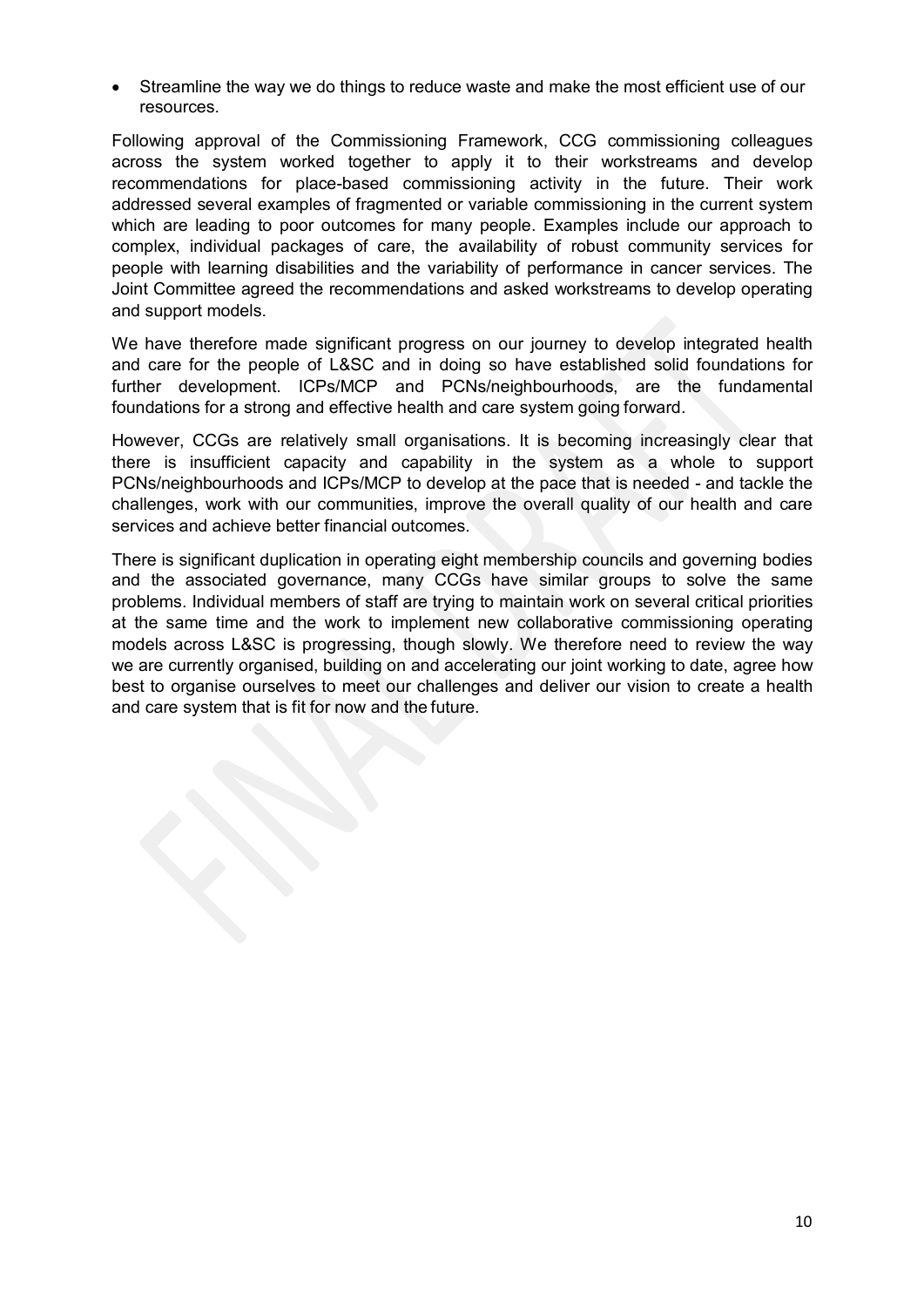• Streamline the way we do things to reduce waste and make the most efficient use of our resources.

Following approval of the Commissioning Framework, CCG commissioning colleagues across the system worked together to apply it to their workstreams and develop recommendations for place-based commissioning activity in the future. Their work addressed several examples of fragmented or variable commissioning in the current system which are leading to poor outcomes for many people. Examples include our approach to complex, individual packages of care, the availability of robust community services for people with learning disabilities and the variability of performance in cancer services. The Joint Committee agreed the recommendations and asked workstreams to develop operating and support models.

We have therefore made significant progress on our journey to develop integrated health and care for the people of L&SC and in doing so have established solid foundations for further development. ICPs/MCP and PCNs/neighbourhoods, are the fundamental foundations for a strong and effective health and care system going forward.

However, CCGs are relatively small organisations. It is becoming increasingly clear that there is insufficient capacity and capability in the system as a whole to support PCNs/neighbourhoods and ICPs/MCP to develop at the pace that is needed - and tackle the challenges, work with our communities, improve the overall quality of our health and care services and achieve better financial outcomes.

There is significant duplication in operating eight membership councils and governing bodies and the associated governance, many CCGs have similar groups to solve the same problems. Individual members of staff are trying to maintain work on several critical priorities at the same time and the work to implement new collaborative commissioning operating models across L&SC is progressing, though slowly. We therefore need to review the way we are currently organised, building on and accelerating our joint working to date, agree how best to organise ourselves to meet our challenges and deliver our vision to create a health and care system that is fit for now and the future.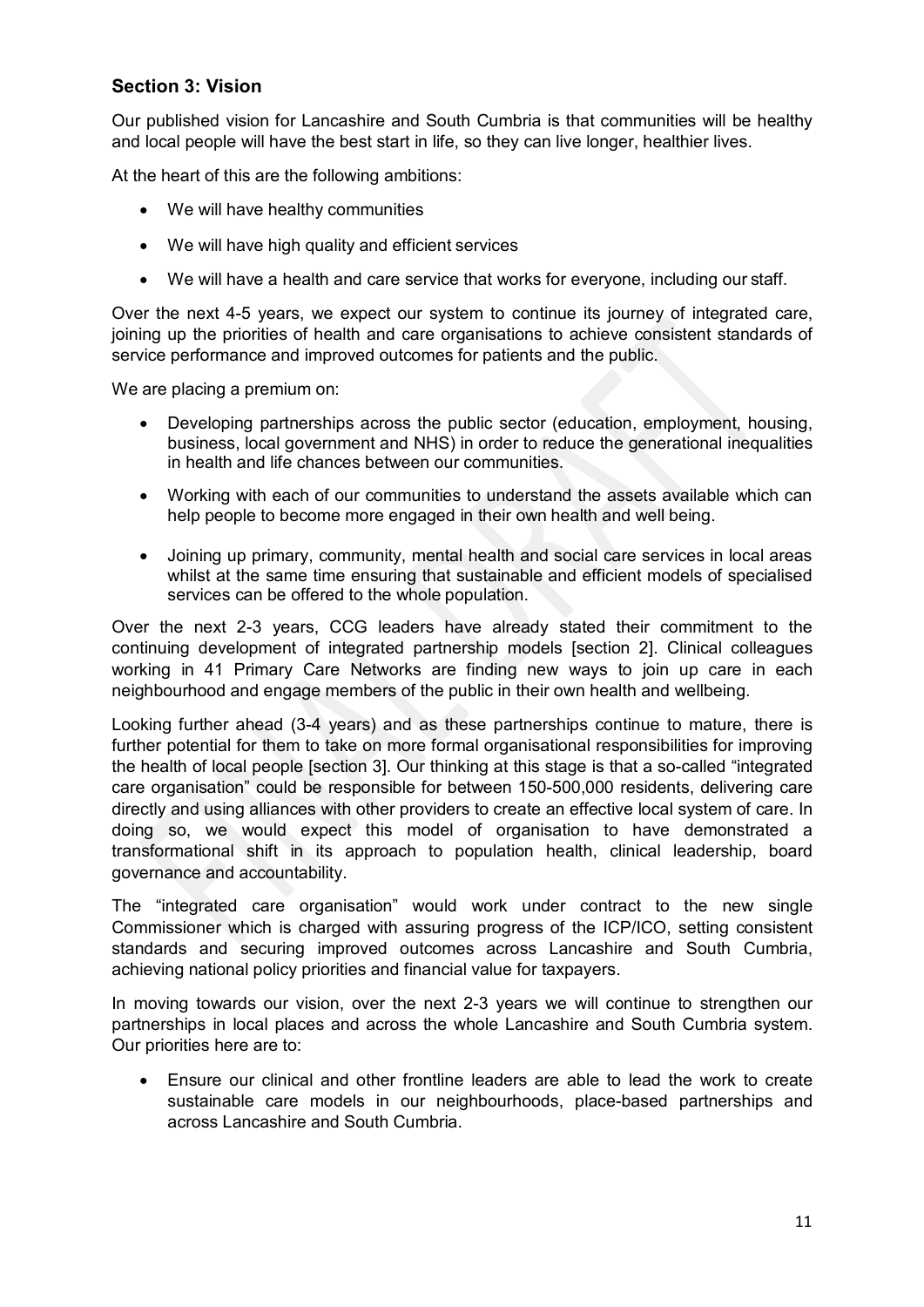# **Section 3: Vision**

Our published vision for Lancashire and South Cumbria is that communities will be healthy and local people will have the best start in life, so they can live longer, healthier lives.

At the heart of this are the following ambitions:

- We will have healthy communities
- We will have high quality and efficient services
- We will have a health and care service that works for everyone, including our staff.

Over the next 4-5 years, we expect our system to continue its journey of integrated care, joining up the priorities of health and care organisations to achieve consistent standards of service performance and improved outcomes for patients and the public.

We are placing a premium on:

- Developing partnerships across the public sector (education, employment, housing, business, local government and NHS) in order to reduce the generational inequalities in health and life chances between our communities.
- Working with each of our communities to understand the assets available which can help people to become more engaged in their own health and well being.
- Joining up primary, community, mental health and social care services in local areas whilst at the same time ensuring that sustainable and efficient models of specialised services can be offered to the whole population.

Over the next 2-3 years, CCG leaders have already stated their commitment to the continuing development of integrated partnership models [section 2]. Clinical colleagues working in 41 Primary Care Networks are finding new ways to join up care in each neighbourhood and engage members of the public in their own health and wellbeing.

Looking further ahead (3-4 years) and as these partnerships continue to mature, there is further potential for them to take on more formal organisational responsibilities for improving the health of local people [section 3]. Our thinking at this stage is that a so-called "integrated care organisation" could be responsible for between 150-500,000 residents, delivering care directly and using alliances with other providers to create an effective local system of care. In doing so, we would expect this model of organisation to have demonstrated a transformational shift in its approach to population health, clinical leadership, board governance and accountability.

The "integrated care organisation" would work under contract to the new single Commissioner which is charged with assuring progress of the ICP/ICO, setting consistent standards and securing improved outcomes across Lancashire and South Cumbria, achieving national policy priorities and financial value for taxpayers.

In moving towards our vision, over the next 2-3 years we will continue to strengthen our partnerships in local places and across the whole Lancashire and South Cumbria system. Our priorities here are to:

• Ensure our clinical and other frontline leaders are able to lead the work to create sustainable care models in our neighbourhoods, place-based partnerships and across Lancashire and South Cumbria.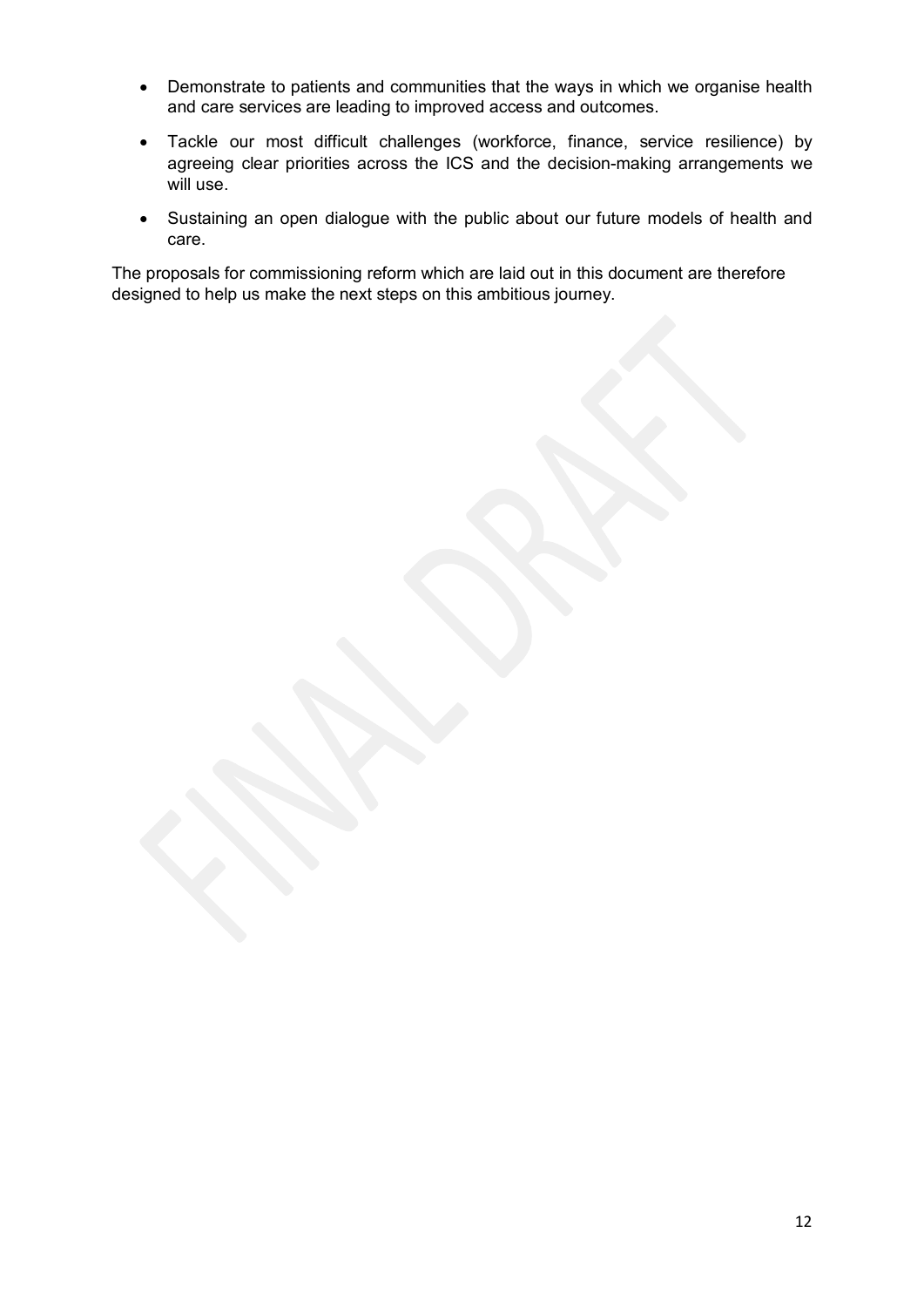- Demonstrate to patients and communities that the ways in which we organise health and care services are leading to improved access and outcomes.
- Tackle our most difficult challenges (workforce, finance, service resilience) by agreeing clear priorities across the ICS and the decision-making arrangements we will use.
- Sustaining an open dialogue with the public about our future models of health and care.

The proposals for commissioning reform which are laid out in this document are therefore designed to help us make the next steps on this ambitious journey.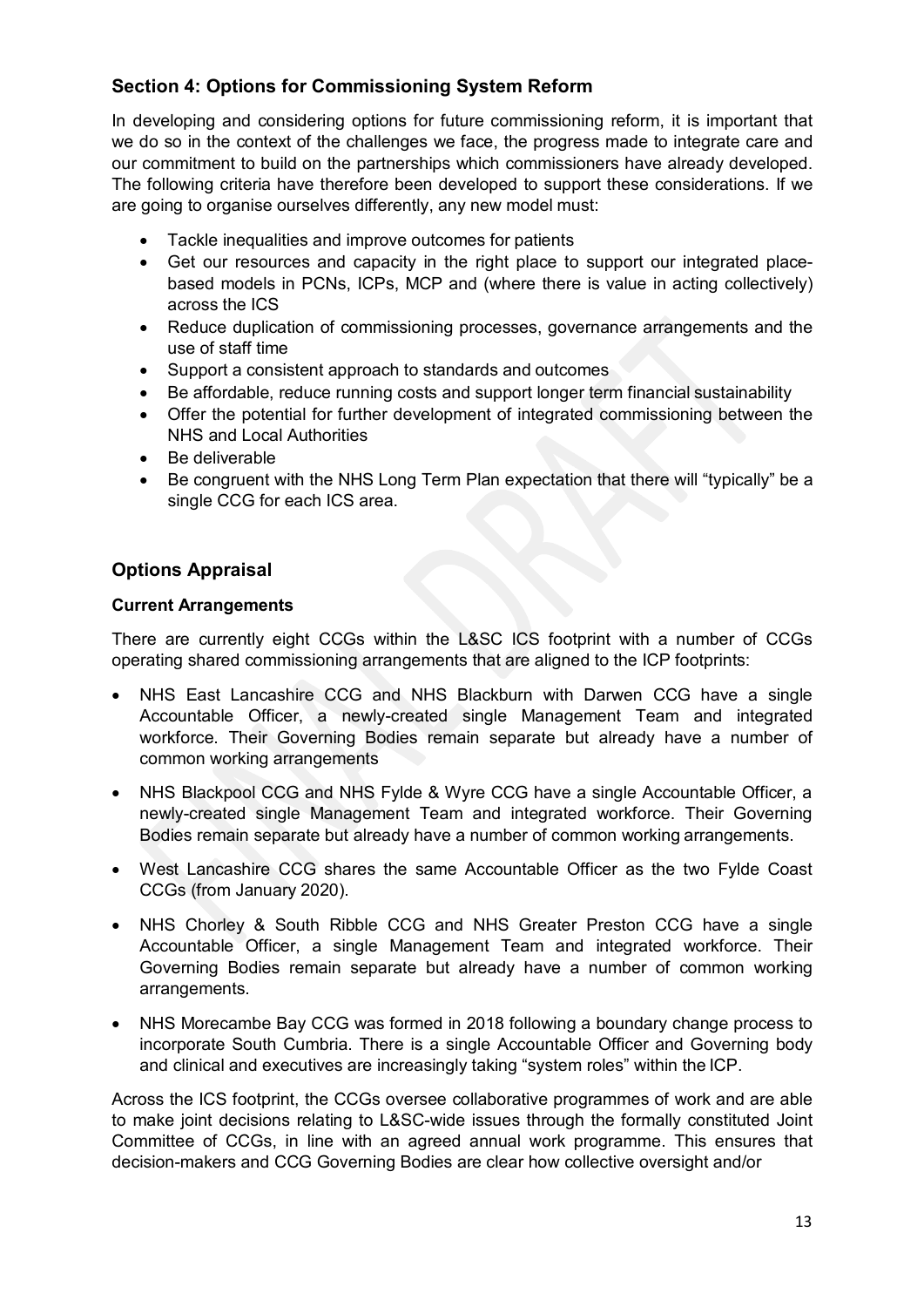# **Section 4: Options for Commissioning System Reform**

In developing and considering options for future commissioning reform, it is important that we do so in the context of the challenges we face, the progress made to integrate care and our commitment to build on the partnerships which commissioners have already developed. The following criteria have therefore been developed to support these considerations. If we are going to organise ourselves differently, any new model must:

- Tackle inequalities and improve outcomes for patients
- Get our resources and capacity in the right place to support our integrated placebased models in PCNs, ICPs, MCP and (where there is value in acting collectively) across the ICS
- Reduce duplication of commissioning processes, governance arrangements and the use of staff time
- Support a consistent approach to standards and outcomes
- Be affordable, reduce running costs and support longer term financial sustainability
- Offer the potential for further development of integrated commissioning between the NHS and Local Authorities
- Be deliverable
- Be congruent with the NHS Long Term Plan expectation that there will "typically" be a single CCG for each ICS area.

# **Options Appraisal**

#### **Current Arrangements**

There are currently eight CCGs within the L&SC ICS footprint with a number of CCGs operating shared commissioning arrangements that are aligned to the ICP footprints:

- NHS East Lancashire CCG and NHS Blackburn with Darwen CCG have a single Accountable Officer, a newly-created single Management Team and integrated workforce. Their Governing Bodies remain separate but already have a number of common working arrangements
- NHS Blackpool CCG and NHS Fylde & Wyre CCG have a single Accountable Officer, a newly-created single Management Team and integrated workforce. Their Governing Bodies remain separate but already have a number of common working arrangements.
- West Lancashire CCG shares the same Accountable Officer as the two Fylde Coast CCGs (from January 2020).
- NHS Chorley & South Ribble CCG and NHS Greater Preston CCG have a single Accountable Officer, a single Management Team and integrated workforce. Their Governing Bodies remain separate but already have a number of common working arrangements.
- NHS Morecambe Bay CCG was formed in 2018 following a boundary change process to incorporate South Cumbria. There is a single Accountable Officer and Governing body and clinical and executives are increasingly taking "system roles" within the ICP.

Across the ICS footprint, the CCGs oversee collaborative programmes of work and are able to make joint decisions relating to L&SC-wide issues through the formally constituted Joint Committee of CCGs, in line with an agreed annual work programme. This ensures that decision-makers and CCG Governing Bodies are clear how collective oversight and/or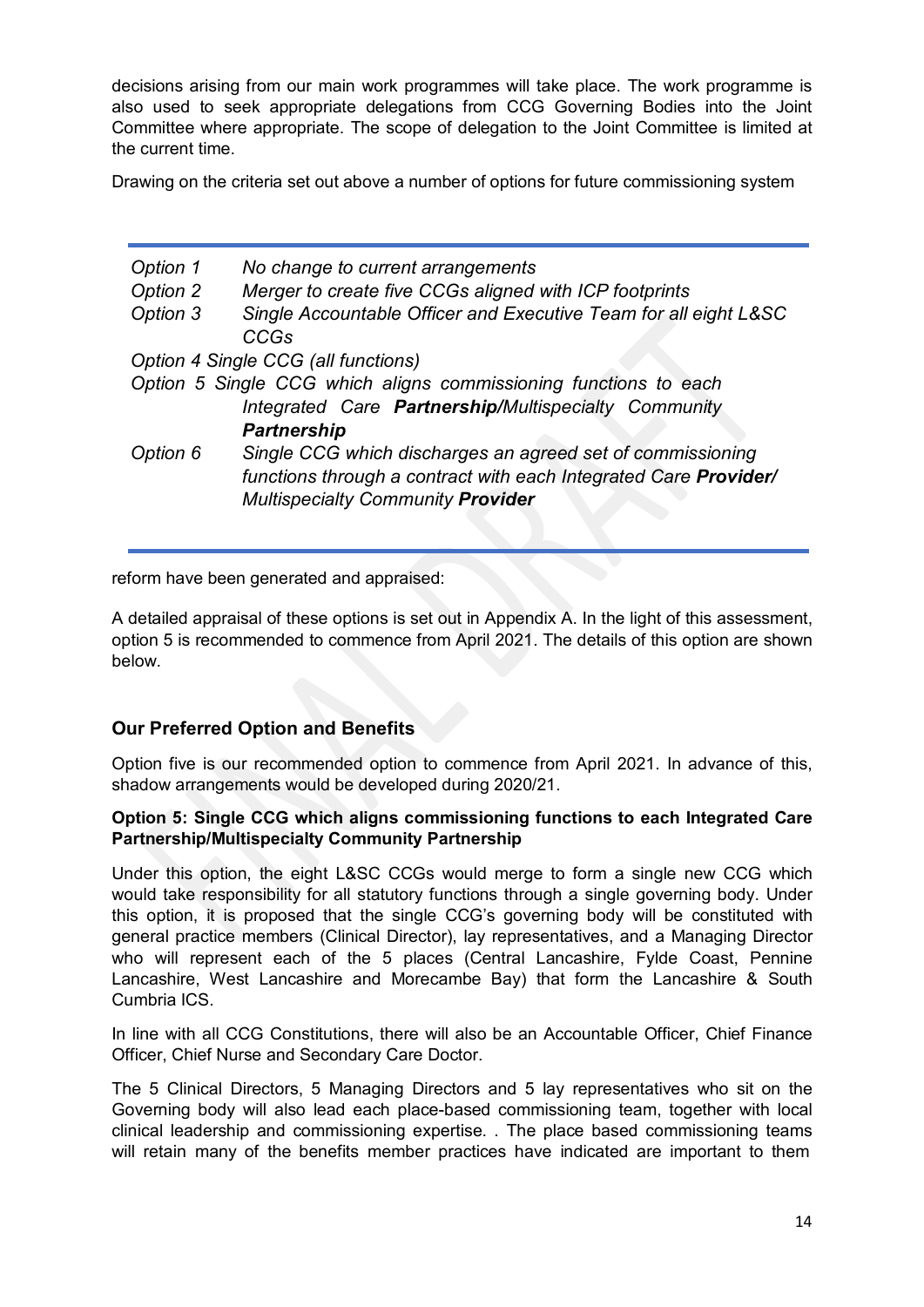decisions arising from our main work programmes will take place. The work programme is also used to seek appropriate delegations from CCG Governing Bodies into the Joint Committee where appropriate. The scope of delegation to the Joint Committee is limited at the current time.

Drawing on the criteria set out above a number of options for future commissioning system

| Option 1<br>Option 2 | No change to current arrangements<br>Merger to create five CCGs aligned with ICP footprints                                                                                |
|----------------------|----------------------------------------------------------------------------------------------------------------------------------------------------------------------------|
| Option 3             | Single Accountable Officer and Executive Team for all eight L&SC<br><b>CCGs</b>                                                                                            |
|                      | Option 4 Single CCG (all functions)                                                                                                                                        |
|                      | Option 5 Single CCG which aligns commissioning functions to each                                                                                                           |
|                      | Integrated Care <b>Partnership/Multispecialty Community</b>                                                                                                                |
|                      | <b>Partnership</b>                                                                                                                                                         |
| Option 6             | Single CCG which discharges an agreed set of commissioning<br>functions through a contract with each Integrated Care Provider/<br><b>Multispecialty Community Provider</b> |

reform have been generated and appraised:

A detailed appraisal of these options is set out in Appendix A. In the light of this assessment, option 5 is recommended to commence from April 2021. The details of this option are shown below.

# **Our Preferred Option and Benefits**

Option five is our recommended option to commence from April 2021. In advance of this, shadow arrangements would be developed during 2020/21.

#### **Option 5: Single CCG which aligns commissioning functions to each Integrated Care Partnership/Multispecialty Community Partnership**

Under this option, the eight L&SC CCGs would merge to form a single new CCG which would take responsibility for all statutory functions through a single governing body. Under this option, it is proposed that the single CCG's governing body will be constituted with general practice members (Clinical Director), lay representatives, and a Managing Director who will represent each of the 5 places (Central Lancashire, Fylde Coast, Pennine Lancashire, West Lancashire and Morecambe Bay) that form the Lancashire & South Cumbria ICS.

In line with all CCG Constitutions, there will also be an Accountable Officer, Chief Finance Officer, Chief Nurse and Secondary Care Doctor.

The 5 Clinical Directors, 5 Managing Directors and 5 lay representatives who sit on the Governing body will also lead each place-based commissioning team, together with local clinical leadership and commissioning expertise. . The place based commissioning teams will retain many of the benefits member practices have indicated are important to them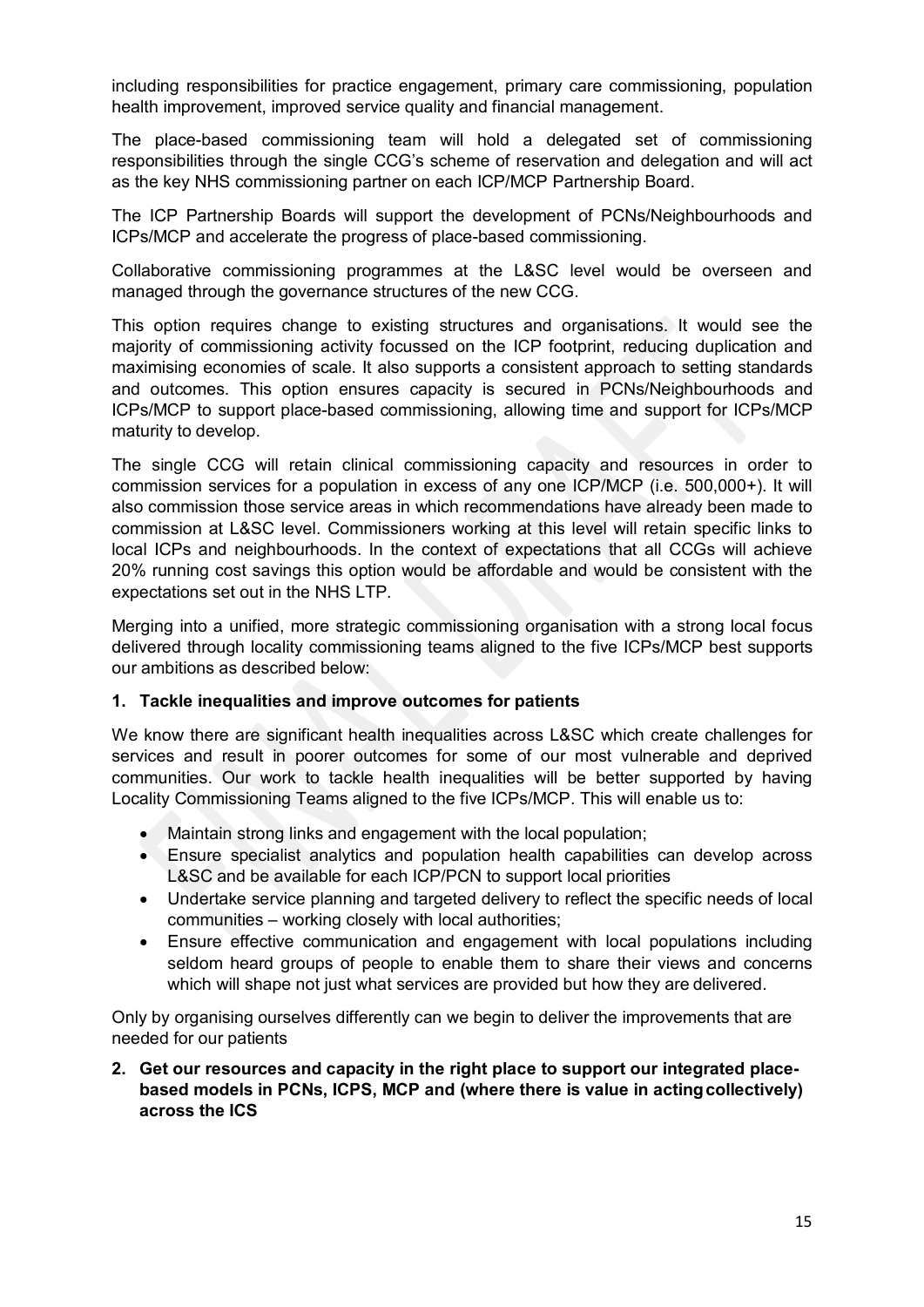including responsibilities for practice engagement, primary care commissioning, population health improvement, improved service quality and financial management.

The place-based commissioning team will hold a delegated set of commissioning responsibilities through the single CCG's scheme of reservation and delegation and will act as the key NHS commissioning partner on each ICP/MCP Partnership Board.

The ICP Partnership Boards will support the development of PCNs/Neighbourhoods and ICPs/MCP and accelerate the progress of place-based commissioning.

Collaborative commissioning programmes at the L&SC level would be overseen and managed through the governance structures of the new CCG.

This option requires change to existing structures and organisations. It would see the majority of commissioning activity focussed on the ICP footprint, reducing duplication and maximising economies of scale. It also supports a consistent approach to setting standards and outcomes. This option ensures capacity is secured in PCNs/Neighbourhoods and ICPs/MCP to support place-based commissioning, allowing time and support for ICPs/MCP maturity to develop.

The single CCG will retain clinical commissioning capacity and resources in order to commission services for a population in excess of any one ICP/MCP (i.e. 500,000+). It will also commission those service areas in which recommendations have already been made to commission at L&SC level. Commissioners working at this level will retain specific links to local ICPs and neighbourhoods. In the context of expectations that all CCGs will achieve 20% running cost savings this option would be affordable and would be consistent with the expectations set out in the NHS LTP.

Merging into a unified, more strategic commissioning organisation with a strong local focus delivered through locality commissioning teams aligned to the five ICPs/MCP best supports our ambitions as described below:

#### **1. Tackle inequalities and improve outcomes for patients**

We know there are significant health inequalities across L&SC which create challenges for services and result in poorer outcomes for some of our most vulnerable and deprived communities. Our work to tackle health inequalities will be better supported by having Locality Commissioning Teams aligned to the five ICPs/MCP. This will enable us to:

- Maintain strong links and engagement with the local population;
- Ensure specialist analytics and population health capabilities can develop across L&SC and be available for each ICP/PCN to support local priorities
- Undertake service planning and targeted delivery to reflect the specific needs of local communities – working closely with local authorities;
- Ensure effective communication and engagement with local populations including seldom heard groups of people to enable them to share their views and concerns which will shape not just what services are provided but how they are delivered.

Only by organising ourselves differently can we begin to deliver the improvements that are needed for our patients

**2. Get our resources and capacity in the right place to support our integrated placebased models in PCNs, ICPS, MCP and (where there is value in actingcollectively) across the ICS**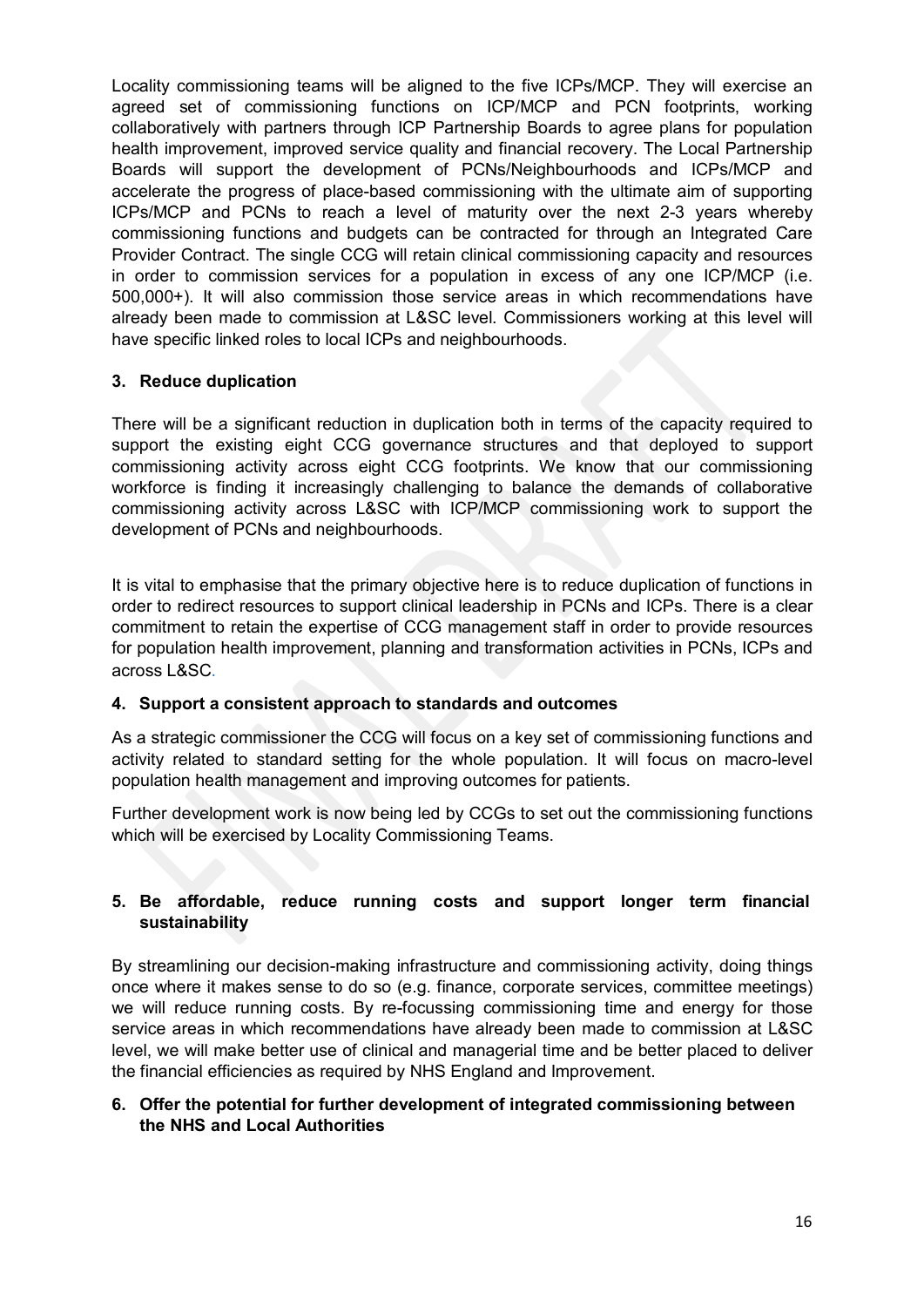Locality commissioning teams will be aligned to the five ICPs/MCP. They will exercise an agreed set of commissioning functions on ICP/MCP and PCN footprints, working collaboratively with partners through ICP Partnership Boards to agree plans for population health improvement, improved service quality and financial recovery. The Local Partnership Boards will support the development of PCNs/Neighbourhoods and ICPs/MCP and accelerate the progress of place-based commissioning with the ultimate aim of supporting ICPs/MCP and PCNs to reach a level of maturity over the next 2-3 years whereby commissioning functions and budgets can be contracted for through an Integrated Care Provider Contract. The single CCG will retain clinical commissioning capacity and resources in order to commission services for a population in excess of any one ICP/MCP (i.e. 500,000+). It will also commission those service areas in which recommendations have already been made to commission at L&SC level. Commissioners working at this level will have specific linked roles to local ICPs and neighbourhoods.

# **3. Reduce duplication**

There will be a significant reduction in duplication both in terms of the capacity required to support the existing eight CCG governance structures and that deployed to support commissioning activity across eight CCG footprints. We know that our commissioning workforce is finding it increasingly challenging to balance the demands of collaborative commissioning activity across L&SC with ICP/MCP commissioning work to support the development of PCNs and neighbourhoods.

It is vital to emphasise that the primary objective here is to reduce duplication of functions in order to redirect resources to support clinical leadership in PCNs and ICPs. There is a clear commitment to retain the expertise of CCG management staff in order to provide resources for population health improvement, planning and transformation activities in PCNs, ICPs and across L&SC.

# **4. Support a consistent approach to standards and outcomes**

As a strategic commissioner the CCG will focus on a key set of commissioning functions and activity related to standard setting for the whole population. It will focus on macro-level population health management and improving outcomes for patients.

Further development work is now being led by CCGs to set out the commissioning functions which will be exercised by Locality Commissioning Teams.

# **5. Be affordable, reduce running costs and support longer term financial sustainability**

By streamlining our decision-making infrastructure and commissioning activity, doing things once where it makes sense to do so (e.g. finance, corporate services, committee meetings) we will reduce running costs. By re-focussing commissioning time and energy for those service areas in which recommendations have already been made to commission at L&SC level, we will make better use of clinical and managerial time and be better placed to deliver the financial efficiencies as required by NHS England and Improvement.

# **6. Offer the potential for further development of integrated commissioning between the NHS and Local Authorities**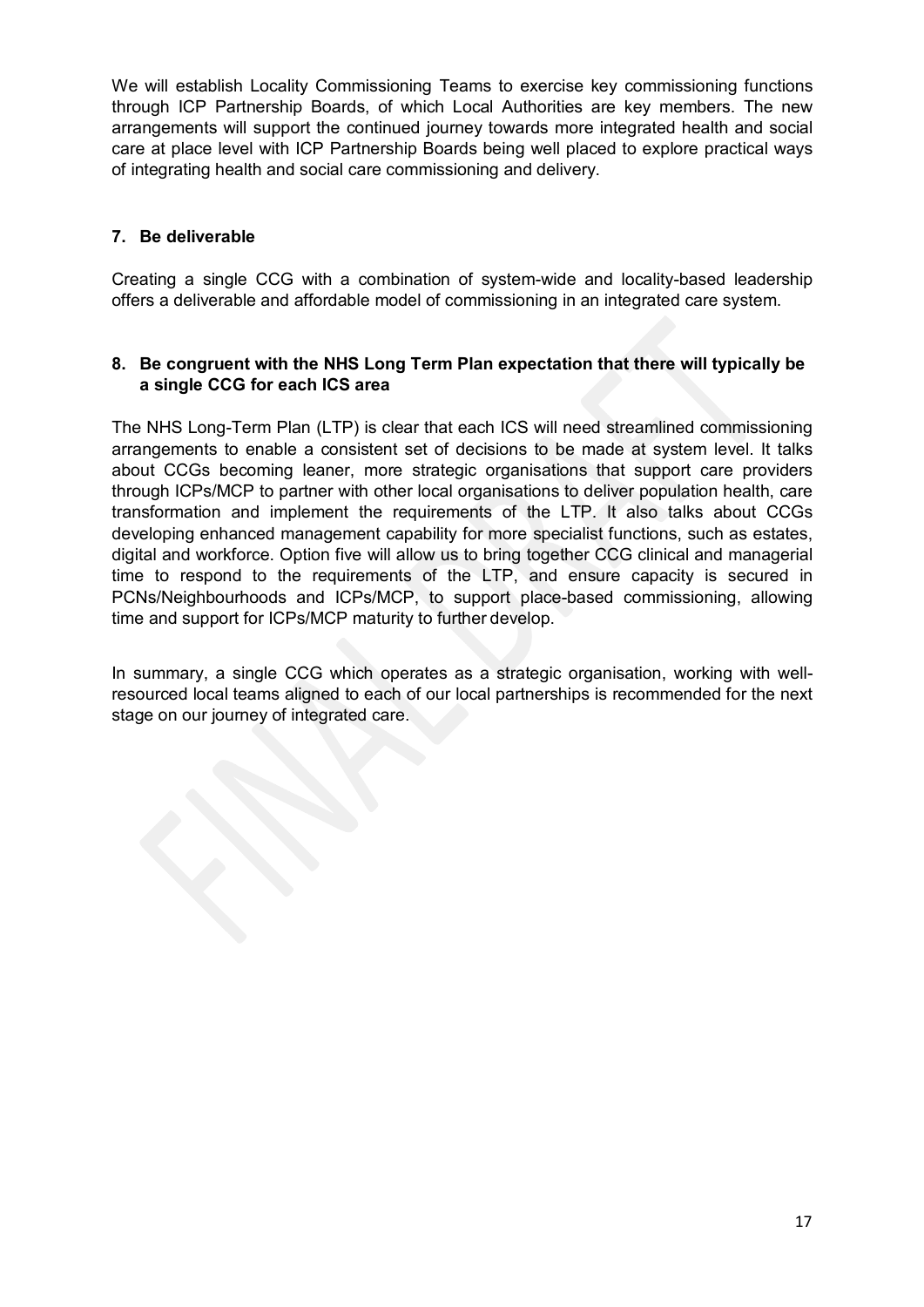We will establish Locality Commissioning Teams to exercise key commissioning functions through ICP Partnership Boards, of which Local Authorities are key members. The new arrangements will support the continued journey towards more integrated health and social care at place level with ICP Partnership Boards being well placed to explore practical ways of integrating health and social care commissioning and delivery.

## **7. Be deliverable**

Creating a single CCG with a combination of system-wide and locality-based leadership offers a deliverable and affordable model of commissioning in an integrated care system.

#### **8. Be congruent with the NHS Long Term Plan expectation that there will typically be a single CCG for each ICS area**

The NHS Long-Term Plan (LTP) is clear that each ICS will need streamlined commissioning arrangements to enable a consistent set of decisions to be made at system level. It talks about CCGs becoming leaner, more strategic organisations that support care providers through ICPs/MCP to partner with other local organisations to deliver population health, care transformation and implement the requirements of the LTP. It also talks about CCGs developing enhanced management capability for more specialist functions, such as estates, digital and workforce. Option five will allow us to bring together CCG clinical and managerial time to respond to the requirements of the LTP, and ensure capacity is secured in PCNs/Neighbourhoods and ICPs/MCP, to support place-based commissioning, allowing time and support for ICPs/MCP maturity to further develop.

In summary, a single CCG which operates as a strategic organisation, working with wellresourced local teams aligned to each of our local partnerships is recommended for the next stage on our journey of integrated care.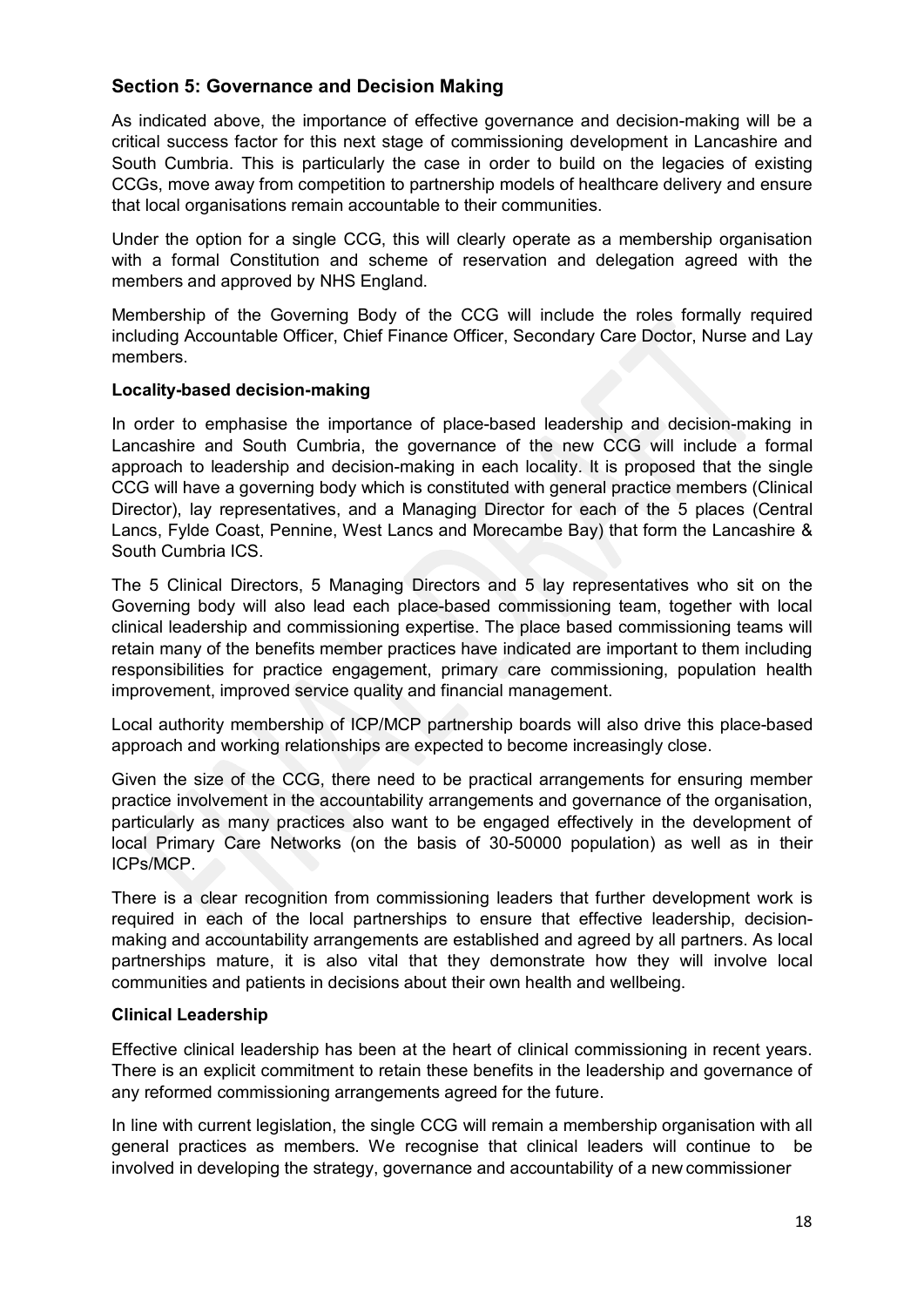# **Section 5: Governance and Decision Making**

As indicated above, the importance of effective governance and decision-making will be a critical success factor for this next stage of commissioning development in Lancashire and South Cumbria. This is particularly the case in order to build on the legacies of existing CCGs, move away from competition to partnership models of healthcare delivery and ensure that local organisations remain accountable to their communities.

Under the option for a single CCG, this will clearly operate as a membership organisation with a formal Constitution and scheme of reservation and delegation agreed with the members and approved by NHS England.

Membership of the Governing Body of the CCG will include the roles formally required including Accountable Officer, Chief Finance Officer, Secondary Care Doctor, Nurse and Lay members.

#### **Locality-based decision-making**

In order to emphasise the importance of place-based leadership and decision-making in Lancashire and South Cumbria, the governance of the new CCG will include a formal approach to leadership and decision-making in each locality. It is proposed that the single CCG will have a governing body which is constituted with general practice members (Clinical Director), lay representatives, and a Managing Director for each of the 5 places (Central Lancs, Fylde Coast, Pennine, West Lancs and Morecambe Bay) that form the Lancashire & South Cumbria ICS.

The 5 Clinical Directors, 5 Managing Directors and 5 lay representatives who sit on the Governing body will also lead each place-based commissioning team, together with local clinical leadership and commissioning expertise. The place based commissioning teams will retain many of the benefits member practices have indicated are important to them including responsibilities for practice engagement, primary care commissioning, population health improvement, improved service quality and financial management.

Local authority membership of ICP/MCP partnership boards will also drive this place-based approach and working relationships are expected to become increasingly close.

Given the size of the CCG, there need to be practical arrangements for ensuring member practice involvement in the accountability arrangements and governance of the organisation, particularly as many practices also want to be engaged effectively in the development of local Primary Care Networks (on the basis of 30-50000 population) as well as in their ICPs/MCP.

There is a clear recognition from commissioning leaders that further development work is required in each of the local partnerships to ensure that effective leadership, decisionmaking and accountability arrangements are established and agreed by all partners. As local partnerships mature, it is also vital that they demonstrate how they will involve local communities and patients in decisions about their own health and wellbeing.

# **Clinical Leadership**

Effective clinical leadership has been at the heart of clinical commissioning in recent years. There is an explicit commitment to retain these benefits in the leadership and governance of any reformed commissioning arrangements agreed for the future.

In line with current legislation, the single CCG will remain a membership organisation with all general practices as members. We recognise that clinical leaders will continue to be involved in developing the strategy, governance and accountability of a new commissioner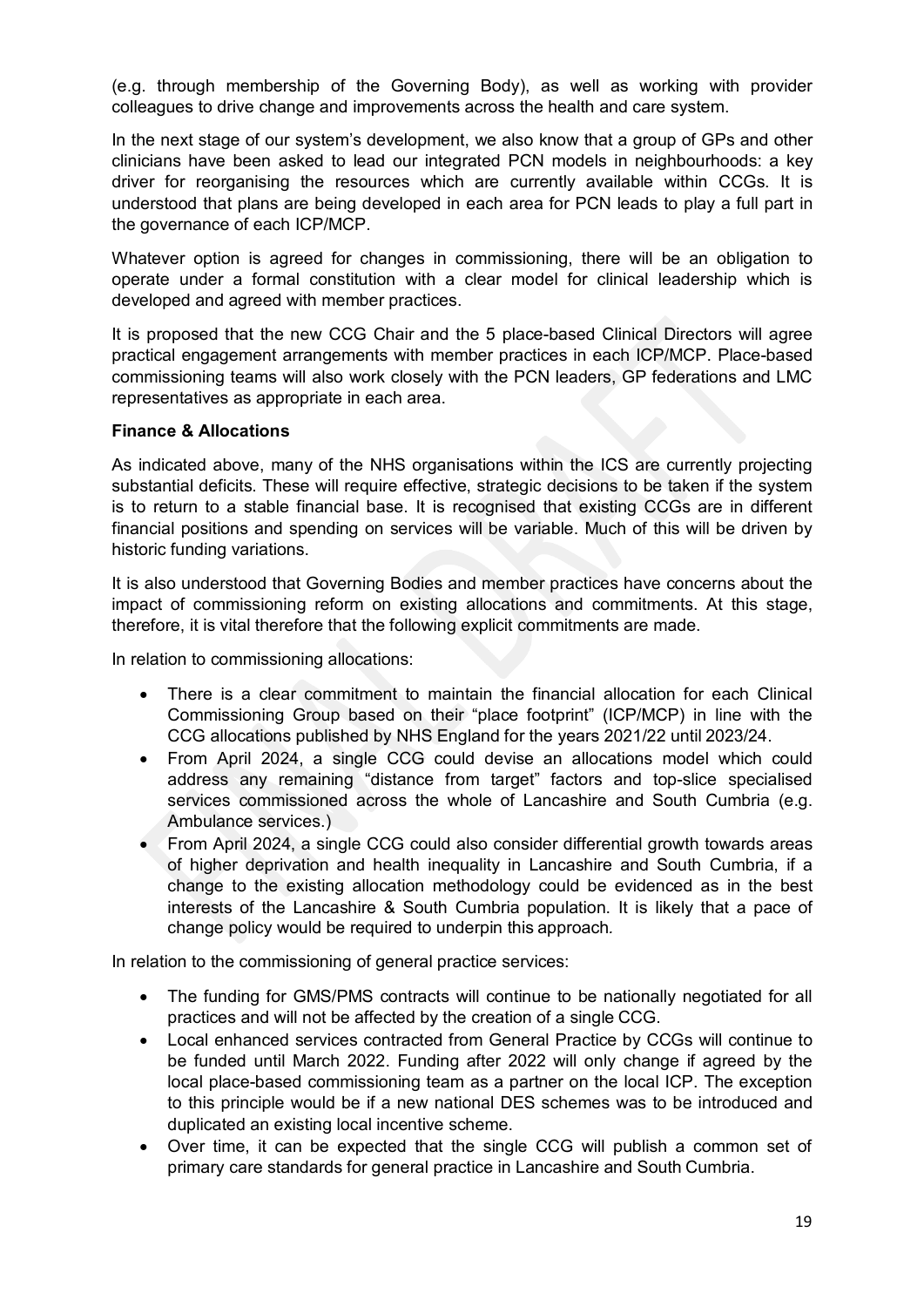(e.g. through membership of the Governing Body), as well as working with provider colleagues to drive change and improvements across the health and care system.

In the next stage of our system's development, we also know that a group of GPs and other clinicians have been asked to lead our integrated PCN models in neighbourhoods: a key driver for reorganising the resources which are currently available within CCGs. It is understood that plans are being developed in each area for PCN leads to play a full part in the governance of each ICP/MCP.

Whatever option is agreed for changes in commissioning, there will be an obligation to operate under a formal constitution with a clear model for clinical leadership which is developed and agreed with member practices.

It is proposed that the new CCG Chair and the 5 place-based Clinical Directors will agree practical engagement arrangements with member practices in each ICP/MCP. Place-based commissioning teams will also work closely with the PCN leaders, GP federations and LMC representatives as appropriate in each area.

#### **Finance & Allocations**

As indicated above, many of the NHS organisations within the ICS are currently projecting substantial deficits. These will require effective, strategic decisions to be taken if the system is to return to a stable financial base. It is recognised that existing CCGs are in different financial positions and spending on services will be variable. Much of this will be driven by historic funding variations.

It is also understood that Governing Bodies and member practices have concerns about the impact of commissioning reform on existing allocations and commitments. At this stage, therefore, it is vital therefore that the following explicit commitments are made.

In relation to commissioning allocations:

- There is a clear commitment to maintain the financial allocation for each Clinical Commissioning Group based on their "place footprint" (ICP/MCP) in line with the CCG allocations published by NHS England for the years 2021/22 until 2023/24.
- From April 2024, a single CCG could devise an allocations model which could address any remaining "distance from target" factors and top-slice specialised services commissioned across the whole of Lancashire and South Cumbria (e.g. Ambulance services.)
- From April 2024, a single CCG could also consider differential growth towards areas of higher deprivation and health inequality in Lancashire and South Cumbria, if a change to the existing allocation methodology could be evidenced as in the best interests of the Lancashire & South Cumbria population. It is likely that a pace of change policy would be required to underpin this approach*.*

In relation to the commissioning of general practice services:

- The funding for GMS/PMS contracts will continue to be nationally negotiated for all practices and will not be affected by the creation of a single CCG.
- Local enhanced services contracted from General Practice by CCGs will continue to be funded until March 2022. Funding after 2022 will only change if agreed by the local place-based commissioning team as a partner on the local ICP. The exception to this principle would be if a new national DES schemes was to be introduced and duplicated an existing local incentive scheme.
- Over time, it can be expected that the single CCG will publish a common set of primary care standards for general practice in Lancashire and South Cumbria.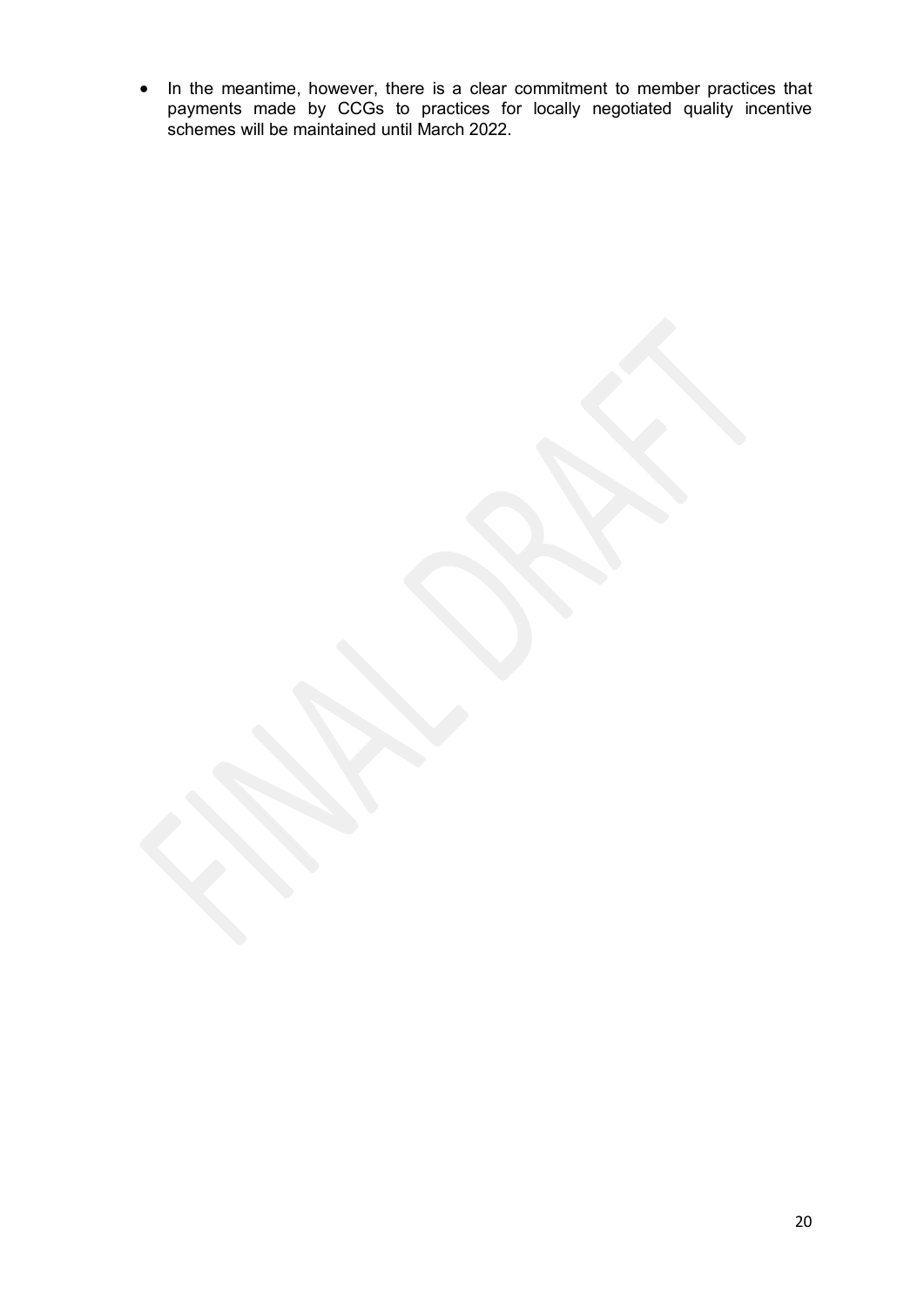• In the meantime, however, there is a clear commitment to member practices that payments made by CCGs to practices for locally negotiated quality incentive schemes will be maintained until March 2022.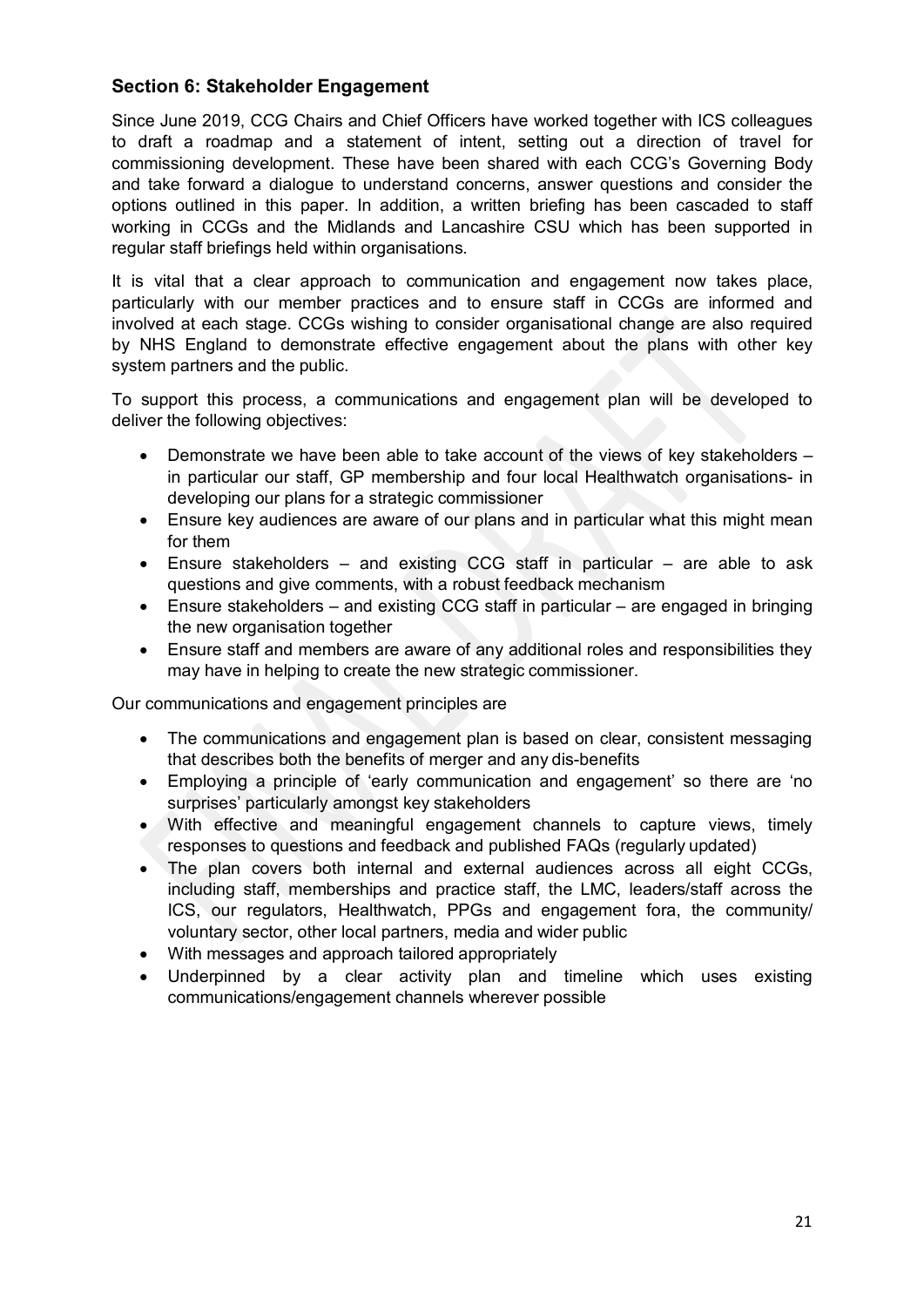# **Section 6: Stakeholder Engagement**

Since June 2019, CCG Chairs and Chief Officers have worked together with ICS colleagues to draft a roadmap and a statement of intent, setting out a direction of travel for commissioning development. These have been shared with each CCG's Governing Body and take forward a dialogue to understand concerns, answer questions and consider the options outlined in this paper. In addition, a written briefing has been cascaded to staff working in CCGs and the Midlands and Lancashire CSU which has been supported in regular staff briefings held within organisations.

It is vital that a clear approach to communication and engagement now takes place, particularly with our member practices and to ensure staff in CCGs are informed and involved at each stage. CCGs wishing to consider organisational change are also required by NHS England to demonstrate effective engagement about the plans with other key system partners and the public.

To support this process, a communications and engagement plan will be developed to deliver the following objectives:

- Demonstrate we have been able to take account of the views of key stakeholders in particular our staff, GP membership and four local Healthwatch organisations- in developing our plans for a strategic commissioner
- Ensure key audiences are aware of our plans and in particular what this might mean for them
- Ensure stakeholders and existing CCG staff in particular are able to ask questions and give comments, with a robust feedback mechanism
- Ensure stakeholders and existing CCG staff in particular are engaged in bringing the new organisation together
- Ensure staff and members are aware of any additional roles and responsibilities they may have in helping to create the new strategic commissioner.

Our communications and engagement principles are

- The communications and engagement plan is based on clear, consistent messaging that describes both the benefits of merger and any dis-benefits
- Employing a principle of 'early communication and engagement' so there are 'no surprises' particularly amongst key stakeholders
- With effective and meaningful engagement channels to capture views, timely responses to questions and feedback and published FAQs (regularly updated)
- The plan covers both internal and external audiences across all eight CCGs, including staff, memberships and practice staff, the LMC, leaders/staff across the ICS, our regulators, Healthwatch, PPGs and engagement fora, the community/ voluntary sector, other local partners, media and wider public
- With messages and approach tailored appropriately
- Underpinned by a clear activity plan and timeline which uses existing communications/engagement channels wherever possible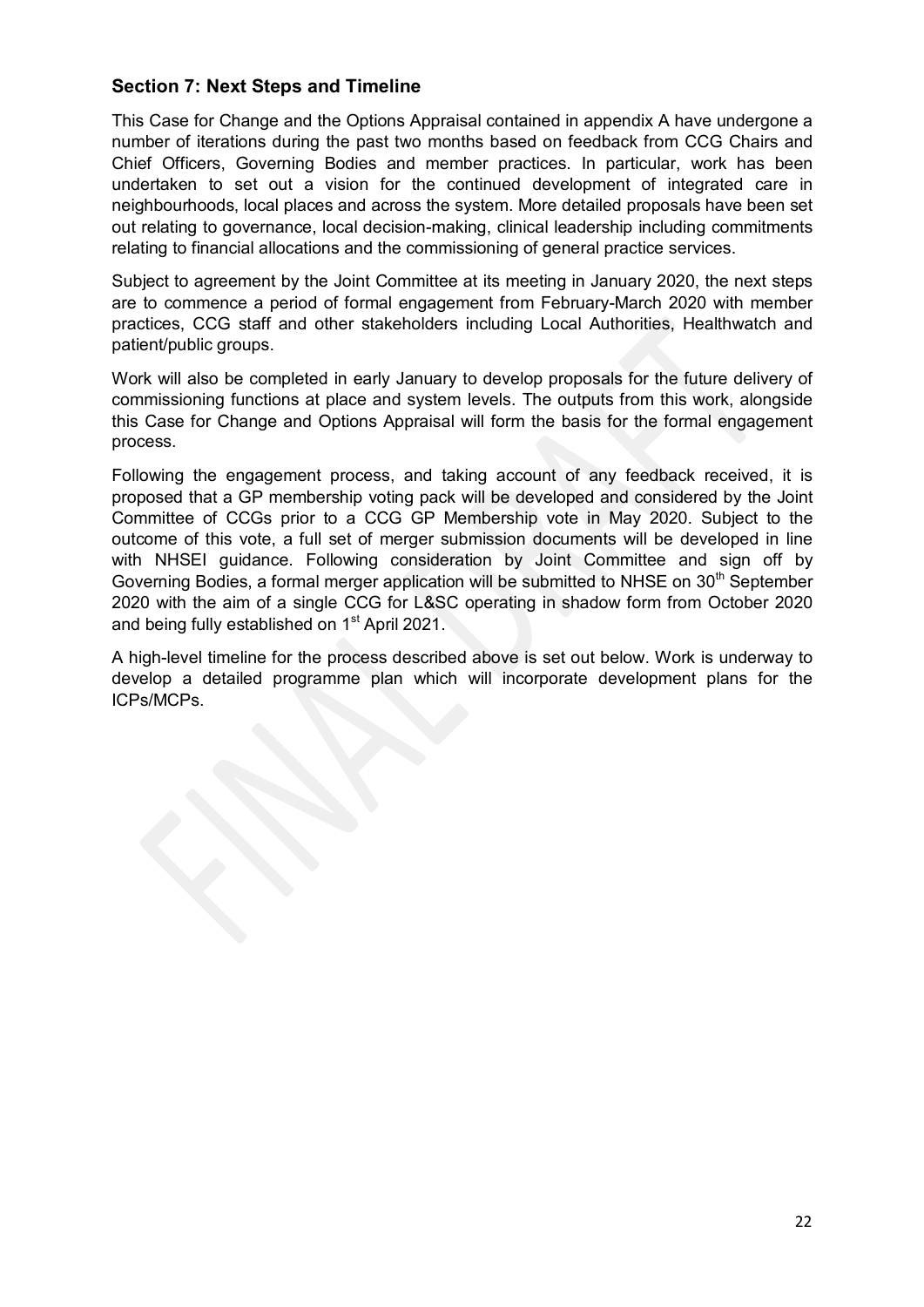# **Section 7: Next Steps and Timeline**

This Case for Change and the Options Appraisal contained in appendix A have undergone a number of iterations during the past two months based on feedback from CCG Chairs and Chief Officers, Governing Bodies and member practices. In particular, work has been undertaken to set out a vision for the continued development of integrated care in neighbourhoods, local places and across the system. More detailed proposals have been set out relating to governance, local decision-making, clinical leadership including commitments relating to financial allocations and the commissioning of general practice services.

Subject to agreement by the Joint Committee at its meeting in January 2020, the next steps are to commence a period of formal engagement from February-March 2020 with member practices, CCG staff and other stakeholders including Local Authorities, Healthwatch and patient/public groups.

Work will also be completed in early January to develop proposals for the future delivery of commissioning functions at place and system levels. The outputs from this work, alongside this Case for Change and Options Appraisal will form the basis for the formal engagement process.

Following the engagement process, and taking account of any feedback received, it is proposed that a GP membership voting pack will be developed and considered by the Joint Committee of CCGs prior to a CCG GP Membership vote in May 2020. Subject to the outcome of this vote, a full set of merger submission documents will be developed in line with NHSEI guidance. Following consideration by Joint Committee and sign off by Governing Bodies, a formal merger application will be submitted to NHSE on  $30<sup>th</sup>$  September 2020 with the aim of a single CCG for L&SC operating in shadow form from October 2020 and being fully established on 1<sup>st</sup> April 2021.

A high-level timeline for the process described above is set out below. Work is underway to develop a detailed programme plan which will incorporate development plans for the ICPs/MCPs.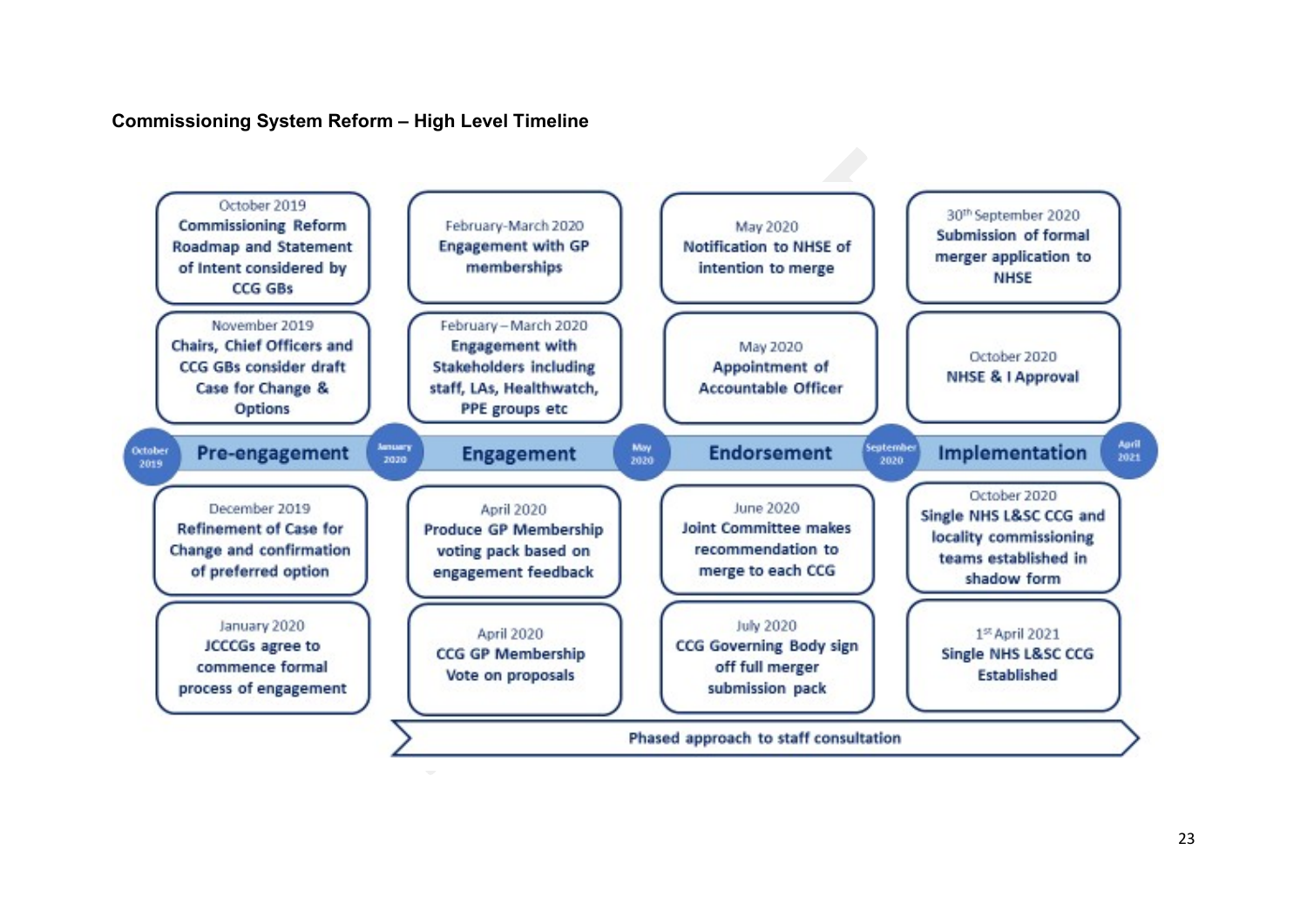# **Commissioning System Reform – High Level Timeline**

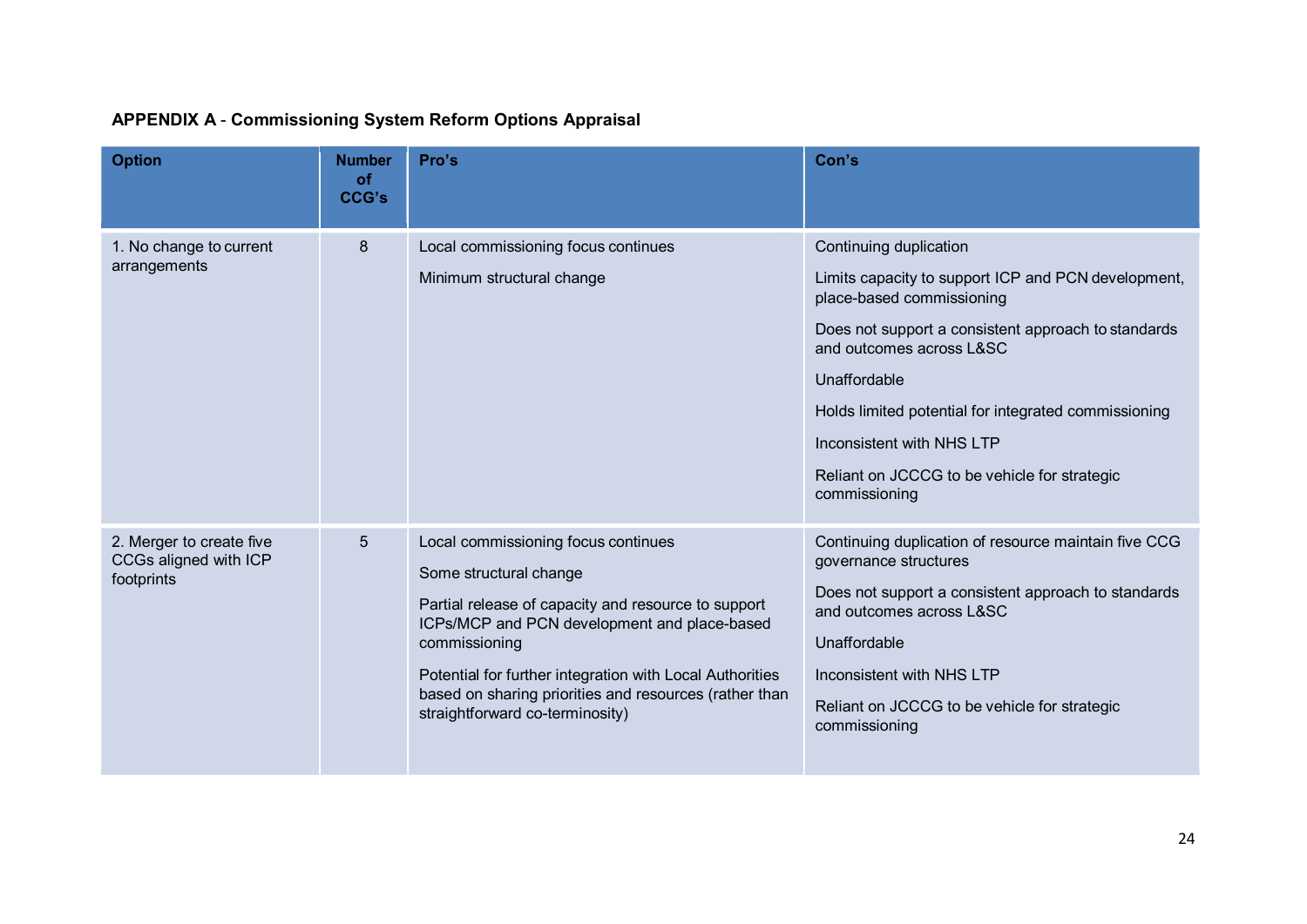# **APPENDIX A** - **Commissioning System Reform Options Appraisal**

| <b>Option</b>                                                   | <b>Number</b><br><b>of</b><br><b>CCG's</b> | Pro's                                                                                                                                                                                                                                                                                                                                          | Con's                                                                                                                                                                                                                                                                                                                                                               |
|-----------------------------------------------------------------|--------------------------------------------|------------------------------------------------------------------------------------------------------------------------------------------------------------------------------------------------------------------------------------------------------------------------------------------------------------------------------------------------|---------------------------------------------------------------------------------------------------------------------------------------------------------------------------------------------------------------------------------------------------------------------------------------------------------------------------------------------------------------------|
| 1. No change to current<br>arrangements                         | 8                                          | Local commissioning focus continues<br>Minimum structural change                                                                                                                                                                                                                                                                               | Continuing duplication<br>Limits capacity to support ICP and PCN development,<br>place-based commissioning<br>Does not support a consistent approach to standards<br>and outcomes across L&SC<br>Unaffordable<br>Holds limited potential for integrated commissioning<br>Inconsistent with NHS LTP<br>Reliant on JCCCG to be vehicle for strategic<br>commissioning |
| 2. Merger to create five<br>CCGs aligned with ICP<br>footprints | 5                                          | Local commissioning focus continues<br>Some structural change<br>Partial release of capacity and resource to support<br>ICPs/MCP and PCN development and place-based<br>commissioning<br>Potential for further integration with Local Authorities<br>based on sharing priorities and resources (rather than<br>straightforward co-terminosity) | Continuing duplication of resource maintain five CCG<br>governance structures<br>Does not support a consistent approach to standards<br>and outcomes across L&SC<br>Unaffordable<br>Inconsistent with NHS LTP<br>Reliant on JCCCG to be vehicle for strategic<br>commissioning                                                                                      |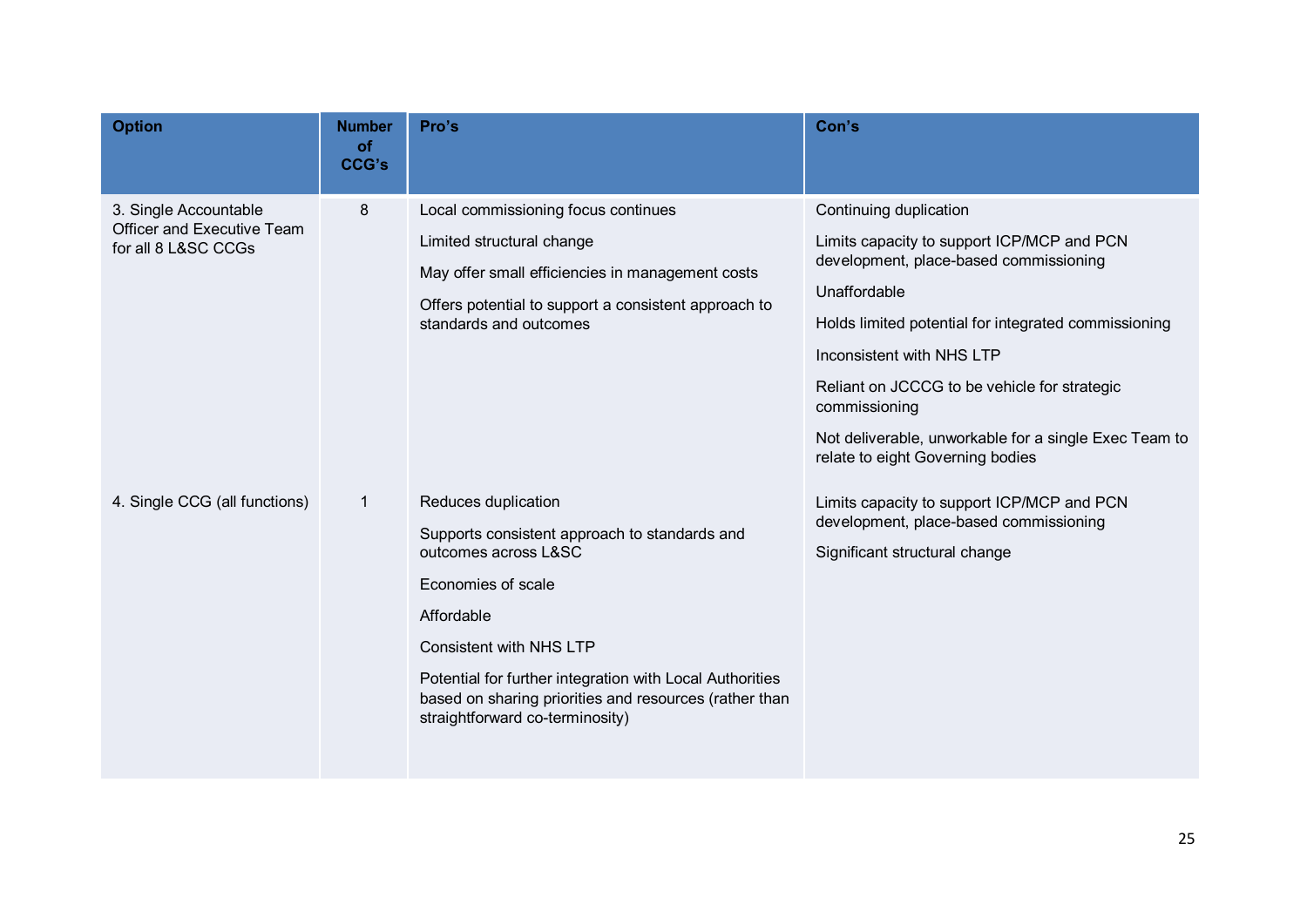| <b>Option</b>                                                              | <b>Number</b><br>of<br><b>CCG's</b> | Pro's                                                                                                                                                                                                                                                                                                                       | Con's                                                                                                                                                                                                                                                                                                                                                                             |
|----------------------------------------------------------------------------|-------------------------------------|-----------------------------------------------------------------------------------------------------------------------------------------------------------------------------------------------------------------------------------------------------------------------------------------------------------------------------|-----------------------------------------------------------------------------------------------------------------------------------------------------------------------------------------------------------------------------------------------------------------------------------------------------------------------------------------------------------------------------------|
| 3. Single Accountable<br>Officer and Executive Team<br>for all 8 L&SC CCGs | 8                                   | Local commissioning focus continues<br>Limited structural change<br>May offer small efficiencies in management costs<br>Offers potential to support a consistent approach to<br>standards and outcomes                                                                                                                      | Continuing duplication<br>Limits capacity to support ICP/MCP and PCN<br>development, place-based commissioning<br>Unaffordable<br>Holds limited potential for integrated commissioning<br>Inconsistent with NHS LTP<br>Reliant on JCCCG to be vehicle for strategic<br>commissioning<br>Not deliverable, unworkable for a single Exec Team to<br>relate to eight Governing bodies |
| 4. Single CCG (all functions)                                              | 1                                   | Reduces duplication<br>Supports consistent approach to standards and<br>outcomes across L&SC<br>Economies of scale<br>Affordable<br><b>Consistent with NHS LTP</b><br>Potential for further integration with Local Authorities<br>based on sharing priorities and resources (rather than<br>straightforward co-terminosity) | Limits capacity to support ICP/MCP and PCN<br>development, place-based commissioning<br>Significant structural change                                                                                                                                                                                                                                                             |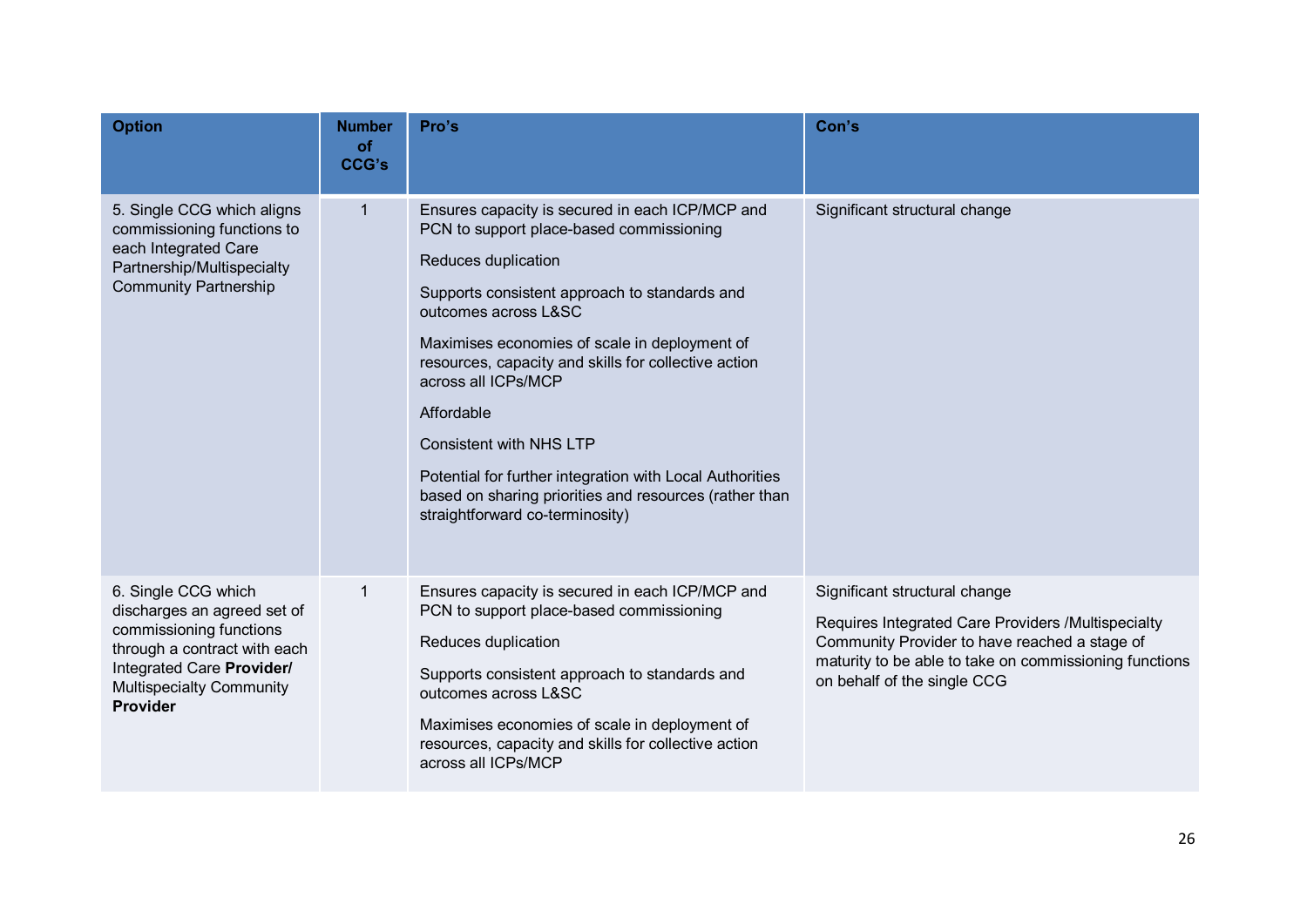| <b>Option</b>                                                                                                                                                                             | <b>Number</b><br>of<br><b>CCG's</b> | Pro's                                                                                                                                                                                                                                                                                                                                                                                                                                                                                                                                | Con's                                                                                                                                                                                                                         |
|-------------------------------------------------------------------------------------------------------------------------------------------------------------------------------------------|-------------------------------------|--------------------------------------------------------------------------------------------------------------------------------------------------------------------------------------------------------------------------------------------------------------------------------------------------------------------------------------------------------------------------------------------------------------------------------------------------------------------------------------------------------------------------------------|-------------------------------------------------------------------------------------------------------------------------------------------------------------------------------------------------------------------------------|
| 5. Single CCG which aligns<br>commissioning functions to<br>each Integrated Care<br>Partnership/Multispecialty<br><b>Community Partnership</b>                                            | $\mathbf 1$                         | Ensures capacity is secured in each ICP/MCP and<br>PCN to support place-based commissioning<br>Reduces duplication<br>Supports consistent approach to standards and<br>outcomes across L&SC<br>Maximises economies of scale in deployment of<br>resources, capacity and skills for collective action<br>across all ICPs/MCP<br>Affordable<br><b>Consistent with NHS LTP</b><br>Potential for further integration with Local Authorities<br>based on sharing priorities and resources (rather than<br>straightforward co-terminosity) | Significant structural change                                                                                                                                                                                                 |
| 6. Single CCG which<br>discharges an agreed set of<br>commissioning functions<br>through a contract with each<br>Integrated Care Provider/<br><b>Multispecialty Community</b><br>Provider | 1                                   | Ensures capacity is secured in each ICP/MCP and<br>PCN to support place-based commissioning<br>Reduces duplication<br>Supports consistent approach to standards and<br>outcomes across L&SC<br>Maximises economies of scale in deployment of<br>resources, capacity and skills for collective action<br>across all ICPs/MCP                                                                                                                                                                                                          | Significant structural change<br>Requires Integrated Care Providers /Multispecialty<br>Community Provider to have reached a stage of<br>maturity to be able to take on commissioning functions<br>on behalf of the single CCG |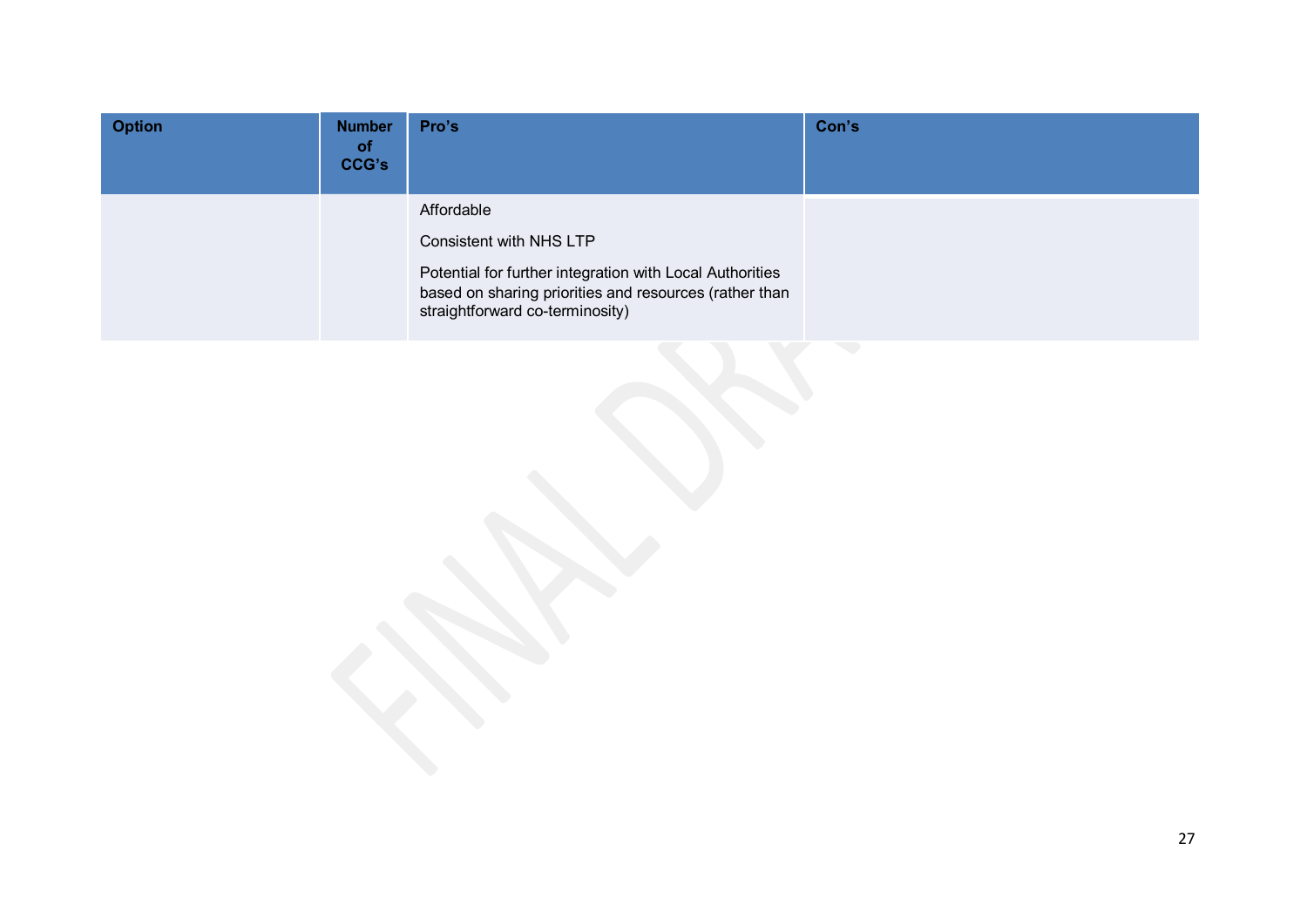| <b>Option</b> | <b>Number</b><br><b>of</b><br>CCG's | Pro's                                                                                                                                                                                          | Con's |
|---------------|-------------------------------------|------------------------------------------------------------------------------------------------------------------------------------------------------------------------------------------------|-------|
|               |                                     | Affordable<br>Consistent with NHS LTP<br>Potential for further integration with Local Authorities<br>based on sharing priorities and resources (rather than<br>straightforward co-terminosity) |       |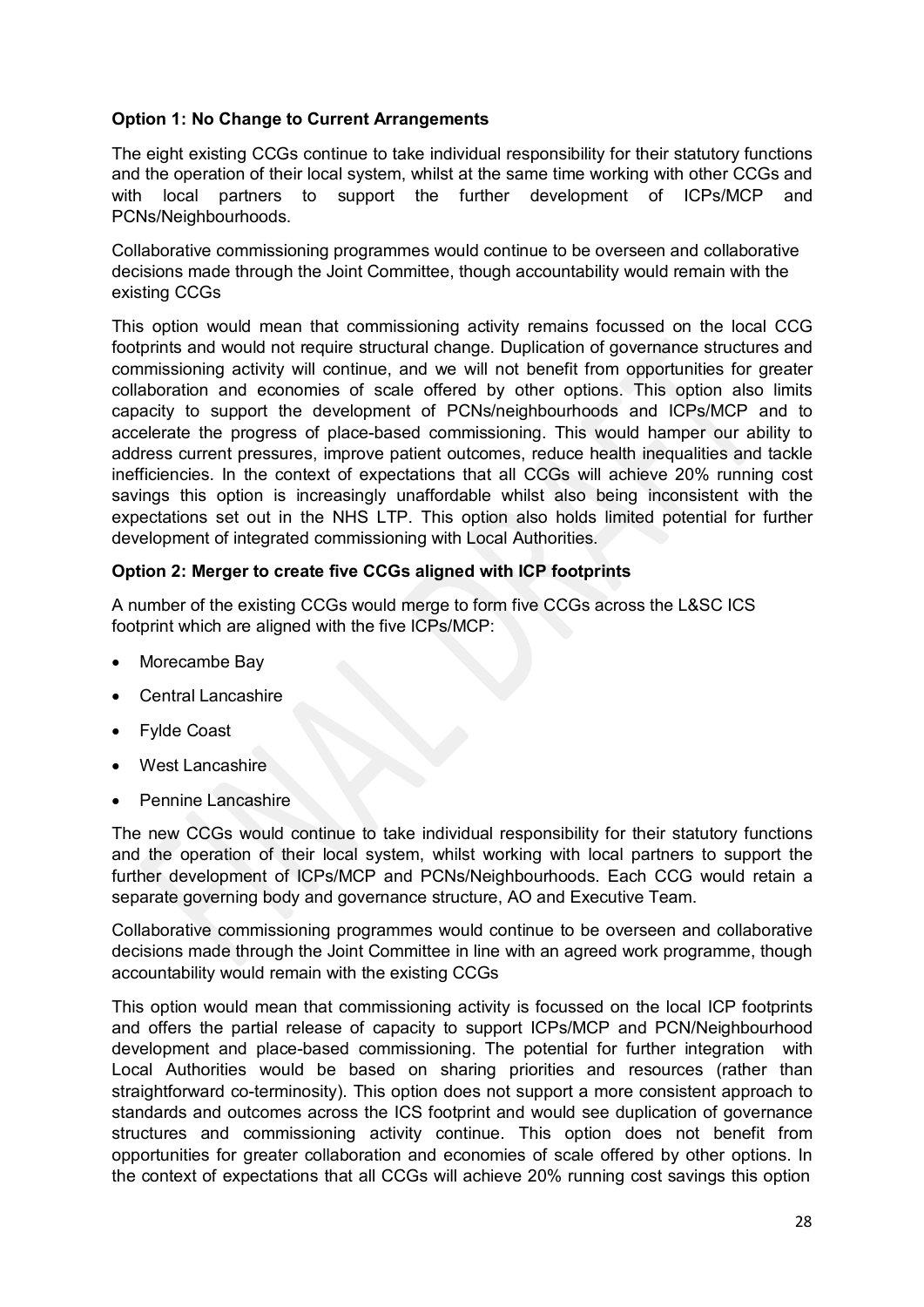## **Option 1: No Change to Current Arrangements**

The eight existing CCGs continue to take individual responsibility for their statutory functions and the operation of their local system, whilst at the same time working with other CCGs and with local partners to support the further development of ICPs/MCP and PCNs/Neighbourhoods.

Collaborative commissioning programmes would continue to be overseen and collaborative decisions made through the Joint Committee, though accountability would remain with the existing CCGs

This option would mean that commissioning activity remains focussed on the local CCG footprints and would not require structural change. Duplication of governance structures and commissioning activity will continue, and we will not benefit from opportunities for greater collaboration and economies of scale offered by other options. This option also limits capacity to support the development of PCNs/neighbourhoods and ICPs/MCP and to accelerate the progress of place-based commissioning. This would hamper our ability to address current pressures, improve patient outcomes, reduce health inequalities and tackle inefficiencies. In the context of expectations that all CCGs will achieve 20% running cost savings this option is increasingly unaffordable whilst also being inconsistent with the expectations set out in the NHS LTP. This option also holds limited potential for further development of integrated commissioning with Local Authorities.

#### **Option 2: Merger to create five CCGs aligned with ICP footprints**

A number of the existing CCGs would merge to form five CCGs across the L&SC ICS footprint which are aligned with the five ICPs/MCP:

- Morecambe Bay
- Central Lancashire
- Fylde Coast
- West Lancashire
- Pennine Lancashire

The new CCGs would continue to take individual responsibility for their statutory functions and the operation of their local system, whilst working with local partners to support the further development of ICPs/MCP and PCNs/Neighbourhoods. Each CCG would retain a separate governing body and governance structure, AO and Executive Team.

Collaborative commissioning programmes would continue to be overseen and collaborative decisions made through the Joint Committee in line with an agreed work programme, though accountability would remain with the existing CCGs

This option would mean that commissioning activity is focussed on the local ICP footprints and offers the partial release of capacity to support ICPs/MCP and PCN/Neighbourhood development and place-based commissioning. The potential for further integration with Local Authorities would be based on sharing priorities and resources (rather than straightforward co-terminosity). This option does not support a more consistent approach to standards and outcomes across the ICS footprint and would see duplication of governance structures and commissioning activity continue. This option does not benefit from opportunities for greater collaboration and economies of scale offered by other options. In the context of expectations that all CCGs will achieve 20% running cost savings this option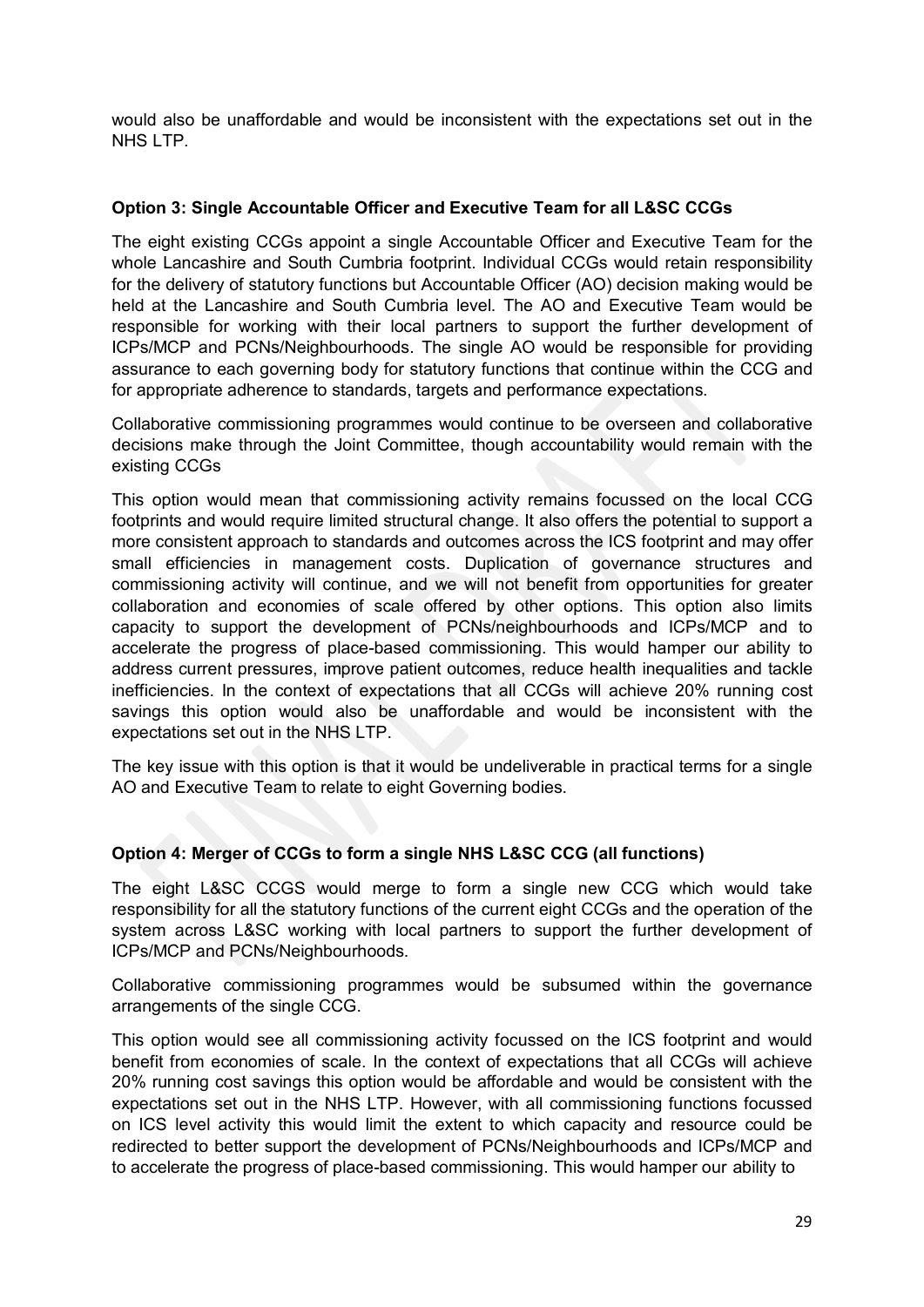would also be unaffordable and would be inconsistent with the expectations set out in the NHS LTP.

#### **Option 3: Single Accountable Officer and Executive Team for all L&SC CCGs**

The eight existing CCGs appoint a single Accountable Officer and Executive Team for the whole Lancashire and South Cumbria footprint. Individual CCGs would retain responsibility for the delivery of statutory functions but Accountable Officer (AO) decision making would be held at the Lancashire and South Cumbria level. The AO and Executive Team would be responsible for working with their local partners to support the further development of ICPs/MCP and PCNs/Neighbourhoods. The single AO would be responsible for providing assurance to each governing body for statutory functions that continue within the CCG and for appropriate adherence to standards, targets and performance expectations.

Collaborative commissioning programmes would continue to be overseen and collaborative decisions make through the Joint Committee, though accountability would remain with the existing CCGs

This option would mean that commissioning activity remains focussed on the local CCG footprints and would require limited structural change. It also offers the potential to support a more consistent approach to standards and outcomes across the ICS footprint and may offer small efficiencies in management costs. Duplication of governance structures and commissioning activity will continue, and we will not benefit from opportunities for greater collaboration and economies of scale offered by other options. This option also limits capacity to support the development of PCNs/neighbourhoods and ICPs/MCP and to accelerate the progress of place-based commissioning. This would hamper our ability to address current pressures, improve patient outcomes, reduce health inequalities and tackle inefficiencies. In the context of expectations that all CCGs will achieve 20% running cost savings this option would also be unaffordable and would be inconsistent with the expectations set out in the NHS LTP.

The key issue with this option is that it would be undeliverable in practical terms for a single AO and Executive Team to relate to eight Governing bodies.

#### **Option 4: Merger of CCGs to form a single NHS L&SC CCG (all functions)**

The eight L&SC CCGS would merge to form a single new CCG which would take responsibility for all the statutory functions of the current eight CCGs and the operation of the system across L&SC working with local partners to support the further development of ICPs/MCP and PCNs/Neighbourhoods.

Collaborative commissioning programmes would be subsumed within the governance arrangements of the single CCG.

This option would see all commissioning activity focussed on the ICS footprint and would benefit from economies of scale. In the context of expectations that all CCGs will achieve 20% running cost savings this option would be affordable and would be consistent with the expectations set out in the NHS LTP. However, with all commissioning functions focussed on ICS level activity this would limit the extent to which capacity and resource could be redirected to better support the development of PCNs/Neighbourhoods and ICPs/MCP and to accelerate the progress of place-based commissioning. This would hamper our ability to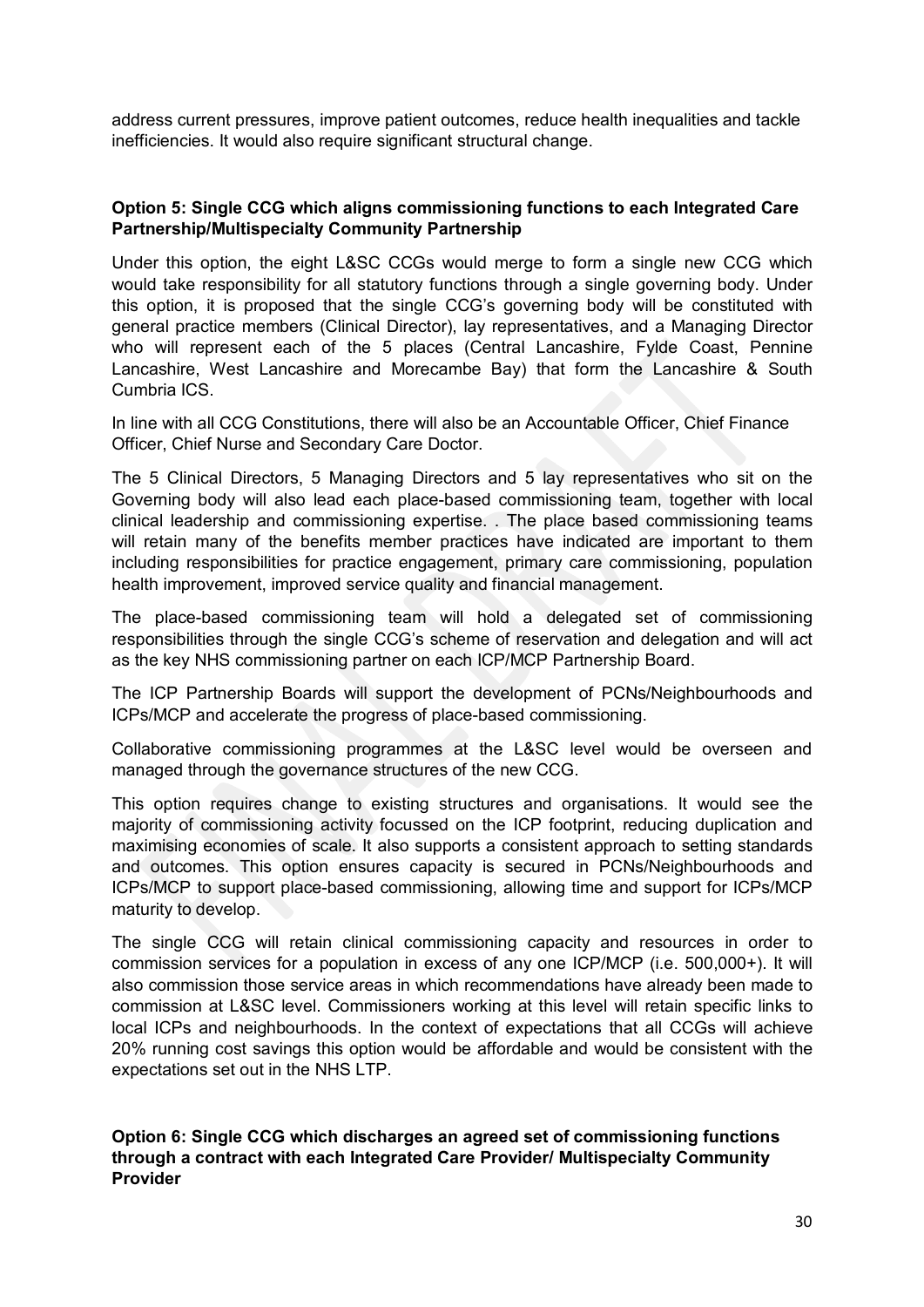address current pressures, improve patient outcomes, reduce health inequalities and tackle inefficiencies. It would also require significant structural change.

#### **Option 5: Single CCG which aligns commissioning functions to each Integrated Care Partnership/Multispecialty Community Partnership**

Under this option, the eight L&SC CCGs would merge to form a single new CCG which would take responsibility for all statutory functions through a single governing body. Under this option, it is proposed that the single CCG's governing body will be constituted with general practice members (Clinical Director), lay representatives, and a Managing Director who will represent each of the 5 places (Central Lancashire, Fylde Coast, Pennine Lancashire, West Lancashire and Morecambe Bay) that form the Lancashire & South Cumbria ICS.

In line with all CCG Constitutions, there will also be an Accountable Officer, Chief Finance Officer, Chief Nurse and Secondary Care Doctor.

The 5 Clinical Directors, 5 Managing Directors and 5 lay representatives who sit on the Governing body will also lead each place-based commissioning team, together with local clinical leadership and commissioning expertise. . The place based commissioning teams will retain many of the benefits member practices have indicated are important to them including responsibilities for practice engagement, primary care commissioning, population health improvement, improved service quality and financial management.

The place-based commissioning team will hold a delegated set of commissioning responsibilities through the single CCG's scheme of reservation and delegation and will act as the key NHS commissioning partner on each ICP/MCP Partnership Board.

The ICP Partnership Boards will support the development of PCNs/Neighbourhoods and ICPs/MCP and accelerate the progress of place-based commissioning.

Collaborative commissioning programmes at the L&SC level would be overseen and managed through the governance structures of the new CCG.

This option requires change to existing structures and organisations. It would see the majority of commissioning activity focussed on the ICP footprint, reducing duplication and maximising economies of scale. It also supports a consistent approach to setting standards and outcomes. This option ensures capacity is secured in PCNs/Neighbourhoods and ICPs/MCP to support place-based commissioning, allowing time and support for ICPs/MCP maturity to develop.

The single CCG will retain clinical commissioning capacity and resources in order to commission services for a population in excess of any one ICP/MCP (i.e. 500,000+). It will also commission those service areas in which recommendations have already been made to commission at L&SC level. Commissioners working at this level will retain specific links to local ICPs and neighbourhoods. In the context of expectations that all CCGs will achieve 20% running cost savings this option would be affordable and would be consistent with the expectations set out in the NHS LTP.

**Option 6: Single CCG which discharges an agreed set of commissioning functions through a contract with each Integrated Care Provider/ Multispecialty Community Provider**